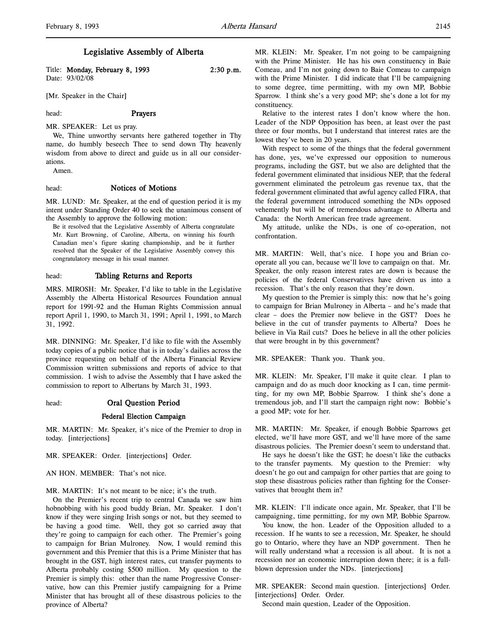# Legislative Assembly of Alberta

Title: Monday, February 8, 1993 2:30 p.m. Date: 93/02/08

[Mr. Speaker in the Chair]

# head: Prayers

MR. SPEAKER: Let us pray.

We, Thine unworthy servants here gathered together in Thy name, do humbly beseech Thee to send down Thy heavenly wisdom from above to direct and guide us in all our considerations.

Amen.

#### head: Notices of Motions

MR. LUND: Mr. Speaker, at the end of question period it is my intent under Standing Order 40 to seek the unanimous consent of the Assembly to approve the following motion:

Be it resolved that the Legislative Assembly of Alberta congratulate Mr. Kurt Browning, of Caroline, Alberta, on winning his fourth Canadian men's figure skating championship, and be it further resolved that the Speaker of the Legislative Assembly convey this congratulatory message in his usual manner.

### head: Tabling Returns and Reports

MRS. MIROSH: Mr. Speaker, I'd like to table in the Legislative Assembly the Alberta Historical Resources Foundation annual report for 1991-92 and the Human Rights Commission annual report April 1, 1990, to March 31, 1991; April 1, 1991, to March 31, 1992.

MR. DINNING: Mr. Speaker, I'd like to file with the Assembly today copies of a public notice that is in today's dailies across the province requesting on behalf of the Alberta Financial Review Commission written submissions and reports of advice to that commission. I wish to advise the Assembly that I have asked the commission to report to Albertans by March 31, 1993.

#### head: Oral Question Period

#### Federal Election Campaign

MR. MARTIN: Mr. Speaker, it's nice of the Premier to drop in today. [interjections]

MR. SPEAKER: Order. [interjections] Order.

AN HON. MEMBER: That's not nice.

## MR. MARTIN: It's not meant to be nice; it's the truth.

On the Premier's recent trip to central Canada we saw him hobnobbing with his good buddy Brian, Mr. Speaker. I don't know if they were singing Irish songs or not, but they seemed to be having a good time. Well, they got so carried away that they're going to campaign for each other. The Premier's going to campaign for Brian Mulroney. Now, I would remind this government and this Premier that this is a Prime Minister that has brought in the GST, high interest rates, cut transfer payments to Alberta probably costing \$500 million. My question to the Premier is simply this: other than the name Progressive Conservative, how can this Premier justify campaigning for a Prime Minister that has brought all of these disastrous policies to the province of Alberta?

MR. KLEIN: Mr. Speaker, I'm not going to be campaigning with the Prime Minister. He has his own constituency in Baie Comeau, and I'm not going down to Baie Comeau to campaign with the Prime Minister. I did indicate that I'll be campaigning to some degree, time permitting, with my own MP, Bobbie Sparrow. I think she's a very good MP; she's done a lot for my constituency.

Relative to the interest rates I don't know where the hon. Leader of the NDP Opposition has been, at least over the past three or four months, but I understand that interest rates are the lowest they've been in 20 years.

With respect to some of the things that the federal government has done, yes, we've expressed our opposition to numerous programs, including the GST, but we also are delighted that the federal government eliminated that insidious NEP, that the federal government eliminated the petroleum gas revenue tax, that the federal government eliminated that awful agency called FIRA, that the federal government introduced something the NDs opposed vehemently but will be of tremendous advantage to Alberta and Canada: the North American free trade agreement.

My attitude, unlike the NDs, is one of co-operation, not confrontation.

MR. MARTIN: Well, that's nice. I hope you and Brian cooperate all you can, because we'll love to campaign on that. Mr. Speaker, the only reason interest rates are down is because the policies of the federal Conservatives have driven us into a recession. That's the only reason that they're down.

My question to the Premier is simply this: now that he's going to campaign for Brian Mulroney in Alberta – and he's made that clear – does the Premier now believe in the GST? Does he believe in the cut of transfer payments to Alberta? Does he believe in Via Rail cuts? Does he believe in all the other policies that were brought in by this government?

MR. SPEAKER: Thank you. Thank you.

MR. KLEIN: Mr. Speaker, I'll make it quite clear. I plan to campaign and do as much door knocking as I can, time permitting, for my own MP, Bobbie Sparrow. I think she's done a tremendous job, and I'll start the campaign right now: Bobbie's a good MP; vote for her.

MR. MARTIN: Mr. Speaker, if enough Bobbie Sparrows get elected, we'll have more GST, and we'll have more of the same disastrous policies. The Premier doesn't seem to understand that.

He says he doesn't like the GST; he doesn't like the cutbacks to the transfer payments. My question to the Premier: why doesn't he go out and campaign for other parties that are going to stop these disastrous policies rather than fighting for the Conservatives that brought them in?

MR. KLEIN: I'll indicate once again, Mr. Speaker, that I'll be campaigning, time permitting, for my own MP, Bobbie Sparrow.

You know, the hon. Leader of the Opposition alluded to a recession. If he wants to see a recession, Mr. Speaker, he should go to Ontario, where they have an NDP government. Then he will really understand what a recession is all about. It is not a recession nor an economic interruption down there; it is a fullblown depression under the NDs. [interjections]

MR. SPEAKER: Second main question. [interjections] Order. [interjections] Order. Order.

Second main question, Leader of the Opposition.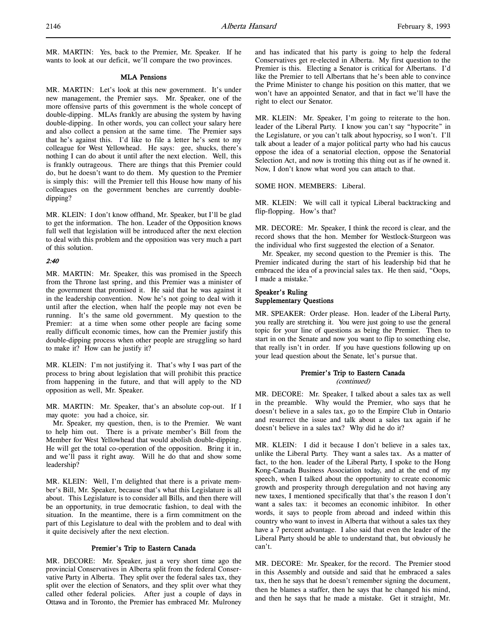MR. MARTIN: Yes, back to the Premier, Mr. Speaker. If he wants to look at our deficit, we'll compare the two provinces.

#### MLA Pensions

MR. MARTIN: Let's look at this new government. It's under new management, the Premier says. Mr. Speaker, one of the more offensive parts of this government is the whole concept of double-dipping. MLAs frankly are abusing the system by having double-dipping. In other words, you can collect your salary here and also collect a pension at the same time. The Premier says that he's against this. I'd like to file a letter he's sent to my colleague for West Yellowhead. He says: gee, shucks, there's nothing I can do about it until after the next election. Well, this is frankly outrageous. There are things that this Premier could do, but he doesn't want to do them. My question to the Premier is simply this: will the Premier tell this House how many of his colleagues on the government benches are currently doubledipping?

MR. KLEIN: I don't know offhand, Mr. Speaker, but I'll be glad to get the information. The hon. Leader of the Opposition knows full well that legislation will be introduced after the next election to deal with this problem and the opposition was very much a part of this solution.

## 2:40

MR. MARTIN: Mr. Speaker, this was promised in the Speech from the Throne last spring, and this Premier was a minister of the government that promised it. He said that he was against it in the leadership convention. Now he's not going to deal with it until after the election, when half the people may not even be running. It's the same old government. My question to the Premier: at a time when some other people are facing some really difficult economic times, how can the Premier justify this double-dipping process when other people are struggling so hard to make it? How can he justify it?

MR. KLEIN: I'm not justifying it. That's why I was part of the process to bring about legislation that will prohibit this practice from happening in the future, and that will apply to the ND opposition as well, Mr. Speaker.

MR. MARTIN: Mr. Speaker, that's an absolute cop-out. If I may quote: you had a choice, sir.

Mr. Speaker, my question, then, is to the Premier. We want to help him out. There is a private member's Bill from the Member for West Yellowhead that would abolish double-dipping. He will get the total co-operation of the opposition. Bring it in, and we'll pass it right away. Will he do that and show some leadership?

MR. KLEIN: Well, I'm delighted that there is a private member's Bill, Mr. Speaker, because that's what this Legislature is all about. This Legislature is to consider all Bills, and then there will be an opportunity, in true democratic fashion, to deal with the situation. In the meantime, there is a firm commitment on the part of this Legislature to deal with the problem and to deal with it quite decisively after the next election.

## Premier's Trip to Eastern Canada

MR. DECORE: Mr. Speaker, just a very short time ago the provincial Conservatives in Alberta split from the federal Conservative Party in Alberta. They split over the federal sales tax, they split over the election of Senators, and they split over what they called other federal policies. After just a couple of days in Ottawa and in Toronto, the Premier has embraced Mr. Mulroney and has indicated that his party is going to help the federal Conservatives get re-elected in Alberta. My first question to the Premier is this. Electing a Senator is critical for Albertans. I'd like the Premier to tell Albertans that he's been able to convince the Prime Minister to change his position on this matter, that we won't have an appointed Senator, and that in fact we'll have the right to elect our Senator.

MR. KLEIN: Mr. Speaker, I'm going to reiterate to the hon. leader of the Liberal Party. I know you can't say "hypocrite" in the Legislature, or you can't talk about hypocrisy, so I won't. I'll talk about a leader of a major political party who had his caucus oppose the idea of a senatorial election, oppose the Senatorial Selection Act, and now is trotting this thing out as if he owned it. Now, I don't know what word you can attach to that.

SOME HON. MEMBERS: Liberal.

MR. KLEIN: We will call it typical Liberal backtracking and flip-flopping. How's that?

MR. DECORE: Mr. Speaker, I think the record is clear, and the record shows that the hon. Member for Westlock-Sturgeon was the individual who first suggested the election of a Senator.

Mr. Speaker, my second question to the Premier is this. The Premier indicated during the start of his leadership bid that he embraced the idea of a provincial sales tax. He then said, "Oops, I made a mistake."

# Speaker's Ruling Supplementary Questions

MR. SPEAKER: Order please. Hon. leader of the Liberal Party, you really are stretching it. You were just going to use the general topic for your line of questions as being the Premier. Then to start in on the Senate and now you want to flip to something else, that really isn't in order. If you have questions following up on your lead question about the Senate, let's pursue that.

## Premier's Trip to Eastern Canada (continued)

MR. DECORE: Mr. Speaker, I talked about a sales tax as well in the preamble. Why would the Premier, who says that he doesn't believe in a sales tax, go to the Empire Club in Ontario and resurrect the issue and talk about a sales tax again if he doesn't believe in a sales tax? Why did he do it?

MR. KLEIN: I did it because I don't believe in a sales tax, unlike the Liberal Party. They want a sales tax. As a matter of fact, to the hon. leader of the Liberal Party, I spoke to the Hong Kong-Canada Business Association today, and at the end of my speech, when I talked about the opportunity to create economic growth and prosperity through deregulation and not having any new taxes, I mentioned specifically that that's the reason I don't want a sales tax: it becomes an economic inhibitor. In other words, it says to people from abroad and indeed within this country who want to invest in Alberta that without a sales tax they have a 7 percent advantage. I also said that even the leader of the Liberal Party should be able to understand that, but obviously he can't.

MR. DECORE: Mr. Speaker, for the record. The Premier stood in this Assembly and outside and said that he embraced a sales tax, then he says that he doesn't remember signing the document, then he blames a staffer, then he says that he changed his mind, and then he says that he made a mistake. Get it straight, Mr.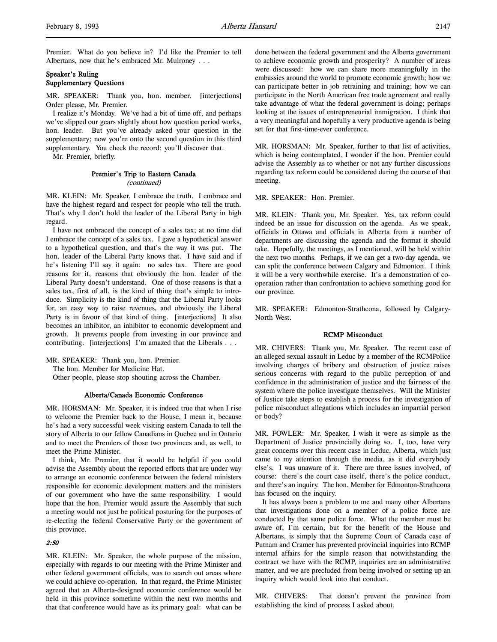# Speaker's Ruling Supplementary Questions

MR. SPEAKER: Thank you, hon. member. [interjections] Order please, Mr. Premier.

I realize it's Monday. We've had a bit of time off, and perhaps we've slipped our gears slightly about how question period works, hon. leader. But you've already asked your question in the supplementary; now you're onto the second question in this third supplementary. You check the record; you'll discover that.

Mr. Premier, briefly.

### Premier's Trip to Eastern Canada (continued)

MR. KLEIN: Mr. Speaker, I embrace the truth. I embrace and have the highest regard and respect for people who tell the truth. That's why I don't hold the leader of the Liberal Party in high regard.

I have not embraced the concept of a sales tax; at no time did I embrace the concept of a sales tax. I gave a hypothetical answer to a hypothetical question, and that's the way it was put. The hon. leader of the Liberal Party knows that. I have said and if he's listening I'll say it again: no sales tax. There are good reasons for it, reasons that obviously the hon. leader of the Liberal Party doesn't understand. One of those reasons is that a sales tax, first of all, is the kind of thing that's simple to introduce. Simplicity is the kind of thing that the Liberal Party looks for, an easy way to raise revenues, and obviously the Liberal Party is in favour of that kind of thing. [interjections] It also becomes an inhibitor, an inhibitor to economic development and growth. It prevents people from investing in our province and contributing. [interjections] I'm amazed that the Liberals . . .

MR. SPEAKER: Thank you, hon. Premier. The hon. Member for Medicine Hat.

Other people, please stop shouting across the Chamber.

#### Alberta/Canada Economic Conference

MR. HORSMAN: Mr. Speaker, it is indeed true that when I rise to welcome the Premier back to the House, I mean it, because he's had a very successful week visiting eastern Canada to tell the story of Alberta to our fellow Canadians in Quebec and in Ontario and to meet the Premiers of those two provinces and, as well, to meet the Prime Minister.

I think, Mr. Premier, that it would be helpful if you could advise the Assembly about the reported efforts that are under way to arrange an economic conference between the federal ministers responsible for economic development matters and the ministers of our government who have the same responsibility. I would hope that the hon. Premier would assure the Assembly that such a meeting would not just be political posturing for the purposes of re-electing the federal Conservative Party or the government of this province.

# 2:50

MR. KLEIN: Mr. Speaker, the whole purpose of the mission, especially with regards to our meeting with the Prime Minister and other federal government officials, was to search out areas where we could achieve co-operation. In that regard, the Prime Minister agreed that an Alberta-designed economic conference would be held in this province sometime within the next two months and that that conference would have as its primary goal: what can be

done between the federal government and the Alberta government to achieve economic growth and prosperity? A number of areas were discussed: how we can share more meaningfully in the embassies around the world to promote economic growth; how we can participate better in job retraining and training; how we can participate in the North American free trade agreement and really take advantage of what the federal government is doing; perhaps looking at the issues of entrepreneurial immigration. I think that a very meaningful and hopefully a very productive agenda is being set for that first-time-ever conference.

MR. HORSMAN: Mr. Speaker, further to that list of activities, which is being contemplated, I wonder if the hon. Premier could advise the Assembly as to whether or not any further discussions regarding tax reform could be considered during the course of that meeting.

MR. SPEAKER: Hon. Premier.

MR. KLEIN: Thank you, Mr. Speaker. Yes, tax reform could indeed be an issue for discussion on the agenda. As we speak, officials in Ottawa and officials in Alberta from a number of departments are discussing the agenda and the format it should take. Hopefully, the meetings, as I mentioned, will be held within the next two months. Perhaps, if we can get a two-day agenda, we can split the conference between Calgary and Edmonton. I think it will be a very worthwhile exercise. It's a demonstration of cooperation rather than confrontation to achieve something good for our province.

MR. SPEAKER: Edmonton-Strathcona, followed by Calgary-North West.

# RCMP Misconduct

MR. CHIVERS: Thank you, Mr. Speaker. The recent case of an alleged sexual assault in Leduc by a member of the RCMPolice involving charges of bribery and obstruction of justice raises serious concerns with regard to the public perception of and confidence in the administration of justice and the fairness of the system where the police investigate themselves. Will the Minister of Justice take steps to establish a process for the investigation of police misconduct allegations which includes an impartial person or body?

MR. FOWLER: Mr. Speaker, I wish it were as simple as the Department of Justice provincially doing so. I, too, have very great concerns over this recent case in Leduc, Alberta, which just came to my attention through the media, as it did everybody else's. I was unaware of it. There are three issues involved, of course: there's the court case itself, there's the police conduct, and there's an inquiry. The hon. Member for Edmonton-Strathcona has focused on the inquiry.

It has always been a problem to me and many other Albertans that investigations done on a member of a police force are conducted by that same police force. What the member must be aware of, I'm certain, but for the benefit of the House and Albertans, is simply that the Supreme Court of Canada case of Putnam and Cramer has prevented provincial inquiries into RCMP internal affairs for the simple reason that notwithstanding the contract we have with the RCMP, inquiries are an administrative matter, and we are precluded from being involved or setting up an inquiry which would look into that conduct.

MR. CHIVERS: That doesn't prevent the province from establishing the kind of process I asked about.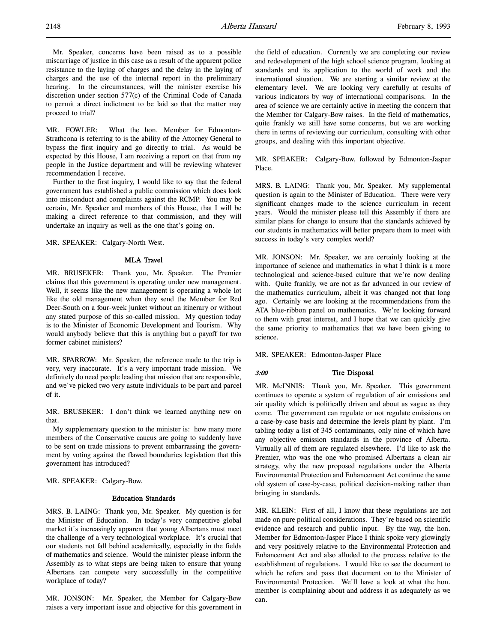MR. FOWLER: What the hon. Member for Edmonton-Strathcona is referring to is the ability of the Attorney General to bypass the first inquiry and go directly to trial. As would be expected by this House, I am receiving a report on that from my people in the Justice department and will be reviewing whatever recommendation I receive.

Further to the first inquiry, I would like to say that the federal government has established a public commission which does look into misconduct and complaints against the RCMP. You may be certain, Mr. Speaker and members of this House, that I will be making a direct reference to that commission, and they will undertake an inquiry as well as the one that's going on.

MR. SPEAKER: Calgary-North West.

## MLA Travel

MR. BRUSEKER: Thank you, Mr. Speaker. The Premier claims that this government is operating under new management. Well, it seems like the new management is operating a whole lot like the old management when they send the Member for Red Deer-South on a four-week junket without an itinerary or without any stated purpose of this so-called mission. My question today is to the Minister of Economic Development and Tourism. Why would anybody believe that this is anything but a payoff for two former cabinet ministers?

MR. SPARROW: Mr. Speaker, the reference made to the trip is very, very inaccurate. It's a very important trade mission. We definitely do need people leading that mission that are responsible, and we've picked two very astute individuals to be part and parcel of it.

MR. BRUSEKER: I don't think we learned anything new on that.

My supplementary question to the minister is: how many more members of the Conservative caucus are going to suddenly have to be sent on trade missions to prevent embarrassing the government by voting against the flawed boundaries legislation that this government has introduced?

MR. SPEAKER: Calgary-Bow.

#### Education Standards

MRS. B. LAING: Thank you, Mr. Speaker. My question is for the Minister of Education. In today's very competitive global market it's increasingly apparent that young Albertans must meet the challenge of a very technological workplace. It's crucial that our students not fall behind academically, especially in the fields of mathematics and science. Would the minister please inform the Assembly as to what steps are being taken to ensure that young Albertans can compete very successfully in the competitive workplace of today?

MR. JONSON: Mr. Speaker, the Member for Calgary-Bow raises a very important issue and objective for this government in the field of education. Currently we are completing our review and redevelopment of the high school science program, looking at standards and its application to the world of work and the international situation. We are starting a similar review at the elementary level. We are looking very carefully at results of various indicators by way of international comparisons. In the area of science we are certainly active in meeting the concern that the Member for Calgary-Bow raises. In the field of mathematics, quite frankly we still have some concerns, but we are working there in terms of reviewing our curriculum, consulting with other groups, and dealing with this important objective.

MR. SPEAKER: Calgary-Bow, followed by Edmonton-Jasper Place.

MRS. B. LAING: Thank you, Mr. Speaker. My supplemental question is again to the Minister of Education. There were very significant changes made to the science curriculum in recent years. Would the minister please tell this Assembly if there are similar plans for change to ensure that the standards achieved by our students in mathematics will better prepare them to meet with success in today's very complex world?

MR. JONSON: Mr. Speaker, we are certainly looking at the importance of science and mathematics in what I think is a more technological and science-based culture that we're now dealing with. Quite frankly, we are not as far advanced in our review of the mathematics curriculum, albeit it was changed not that long ago. Certainly we are looking at the recommendations from the ATA blue-ribbon panel on mathematics. We're looking forward to them with great interest, and I hope that we can quickly give the same priority to mathematics that we have been giving to science.

MR. SPEAKER: Edmonton-Jasper Place

#### 3:00 Tire Disposal

MR. McINNIS: Thank you, Mr. Speaker. This government continues to operate a system of regulation of air emissions and air quality which is politically driven and about as vague as they come. The government can regulate or not regulate emissions on a case-by-case basis and determine the levels plant by plant. I'm tabling today a list of 345 contaminants, only nine of which have any objective emission standards in the province of Alberta. Virtually all of them are regulated elsewhere. I'd like to ask the Premier, who was the one who promised Albertans a clean air strategy, why the new proposed regulations under the Alberta Environmental Protection and Enhancement Act continue the same old system of case-by-case, political decision-making rather than bringing in standards.

MR. KLEIN: First of all, I know that these regulations are not made on pure political considerations. They're based on scientific evidence and research and public input. By the way, the hon. Member for Edmonton-Jasper Place I think spoke very glowingly and very positively relative to the Environmental Protection and Enhancement Act and also alluded to the process relative to the establishment of regulations. I would like to see the document to which he refers and pass that document on to the Minister of Environmental Protection. We'll have a look at what the hon. member is complaining about and address it as adequately as we can.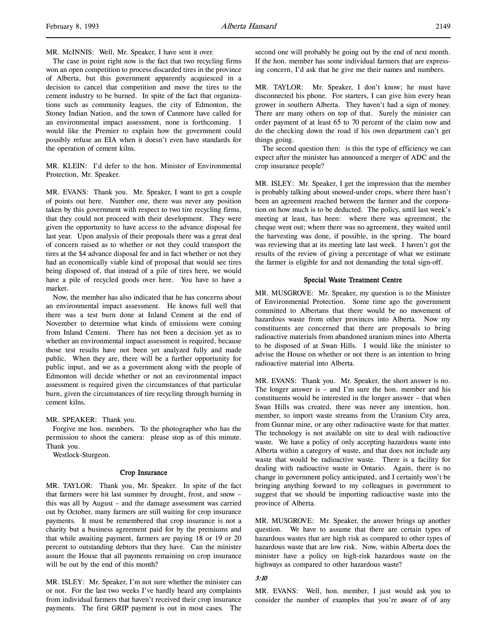l,

MR. McINNIS: Well, Mr. Speaker, I have sent it over.

The case in point right now is the fact that two recycling firms won an open competition to process discarded tires in the province of Alberta, but this government apparently acquiesced in a decision to cancel that competition and move the tires to the cement industry to be burned. In spite of the fact that organizations such as community leagues, the city of Edmonton, the Stoney Indian Nation, and the town of Canmore have called for an environmental impact assessment, none is forthcoming. I would like the Premier to explain how the government could possibly refuse an EIA when it doesn't even have standards for the operation of cement kilns.

MR. KLEIN: I'd defer to the hon. Minister of Environmental Protection, Mr. Speaker.

MR. EVANS: Thank you. Mr. Speaker, I want to get a couple of points out here. Number one, there was never any position taken by this government with respect to two tire recycling firms, that they could not proceed with their development. They were given the opportunity to have access to the advance disposal fee last year. Upon analysis of their proposals there was a great deal of concern raised as to whether or not they could transport the tires at the \$4 advance disposal fee and in fact whether or not they had an economically viable kind of proposal that would see tires being disposed of, that instead of a pile of tires here, we would have a pile of recycled goods over here. You have to have a market.

Now, the member has also indicated that he has concerns about an environmental impact assessment. He knows full well that there was a test burn done at Inland Cement at the end of November to determine what kinds of emissions were coming from Inland Cement. There has not been a decision yet as to whether an environmental impact assessment is required, because those test results have not been yet analyzed fully and made public. When they are, there will be a further opportunity for public input, and we as a government along with the people of Edmonton will decide whether or not an environmental impact assessment is required given the circumstances of that particular burn, given the circumstances of tire recycling through burning in cement kilns.

MR. SPEAKER: Thank you.

Forgive me hon. members. To the photographer who has the permission to shoot the camera: please stop as of this minute. Thank you.

Westlock-Sturgeon.

#### Crop Insurance

MR. TAYLOR: Thank you, Mr. Speaker. In spite of the fact that farmers were hit last summer by drought, frost, and snow – this was all by August – and the damage assessment was carried out by October, many farmers are still waiting for crop insurance payments. It must be remembered that crop insurance is not a charity but a business agreement paid for by the premiums and that while awaiting payment, farmers are paying 18 or 19 or 20 percent to outstanding debtors that they have. Can the minister assure the House that all payments remaining on crop insurance will be out by the end of this month?

MR. ISLEY: Mr. Speaker, I'm not sure whether the minister can or not. For the last two weeks I've hardly heard any complaints from individual farmers that haven't received their crop insurance payments. The first GRIP payment is out in most cases. The

second one will probably be going out by the end of next month. If the hon. member has some individual farmers that are expressing concern, I'd ask that he give me their names and numbers.

MR. TAYLOR: Mr. Speaker, I don't know; he must have disconnected his phone. For starters, I can give him every bean grower in southern Alberta. They haven't had a sign of money. There are many others on top of that. Surely the minister can order payment of at least 65 to 70 percent of the claim now and do the checking down the road if his own department can't get things going.

The second question then: is this the type of efficiency we can expect after the minister has announced a merger of ADC and the crop insurance people?

MR. ISLEY: Mr. Speaker, I get the impression that the member is probably talking about snowed-under crops, where there hasn't been an agreement reached between the farmer and the corporation on how much is to be deducted. The policy, until last week's meeting at least, has been: where there was agreement, the cheque went out; where there was no agreement, they waited until the harvesting was done, if possible, in the spring. The board was reviewing that at its meeting late last week. I haven't got the results of the review of giving a percentage of what we estimate the farmer is eligible for and not demanding the total sign-off.

### Special Waste Treatment Centre

MR. MUSGROVE: Mr. Speaker, my question is to the Minister of Environmental Protection. Some time ago the government committed to Albertans that there would be no movement of hazardous waste from other provinces into Alberta. Now my constituents are concerned that there are proposals to bring radioactive materials from abandoned uranium mines into Alberta to be disposed of at Swan Hills. I would like the minister to advise the House on whether or not there is an intention to bring radioactive material into Alberta.

MR. EVANS: Thank you. Mr. Speaker, the short answer is no. The longer answer is – and I'm sure the hon. member and his constituents would be interested in the longer answer – that when Swan Hills was created, there was never any intention, hon. member, to import waste streams from the Uranium City area, from Gunnar mine, or any other radioactive waste for that matter. The technology is not available on site to deal with radioactive waste. We have a policy of only accepting hazardous waste into Alberta within a category of waste, and that does not include any waste that would be radioactive waste. There is a facility for dealing with radioactive waste in Ontario. Again, there is no change in government policy anticipated, and I certainly won't be bringing anything forward to my colleagues in government to suggest that we should be importing radioactive waste into the province of Alberta.

MR. MUSGROVE: Mr. Speaker, the answer brings up another question. We have to assume that there are certain types of hazardous wastes that are high risk as compared to other types of hazardous waste that are low risk. Now, within Alberta does the minister have a policy on high-risk hazardous waste on the highways as compared to other hazardous waste?

## 3:10

MR. EVANS: Well, hon. member, I just would ask you to consider the number of examples that you're aware of of any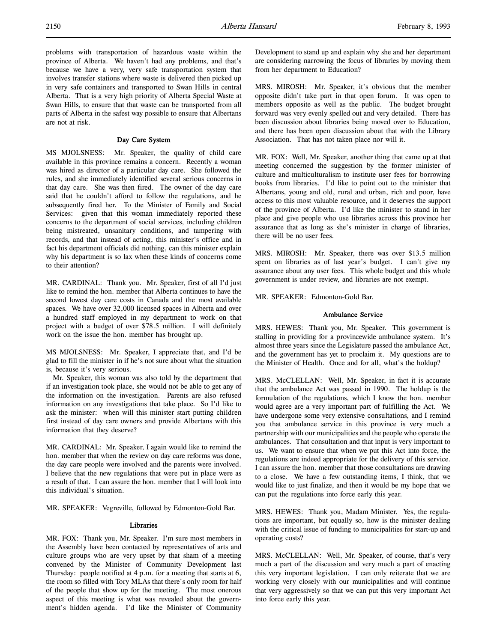problems with transportation of hazardous waste within the province of Alberta. We haven't had any problems, and that's because we have a very, very safe transportation system that involves transfer stations where waste is delivered then picked up in very safe containers and transported to Swan Hills in central Alberta. That is a very high priority of Alberta Special Waste at Swan Hills, to ensure that that waste can be transported from all parts of Alberta in the safest way possible to ensure that Albertans are not at risk.

# Day Care System

MS MJOLSNESS: Mr. Speaker, the quality of child care available in this province remains a concern. Recently a woman was hired as director of a particular day care. She followed the rules, and she immediately identified several serious concerns in that day care. She was then fired. The owner of the day care said that he couldn't afford to follow the regulations, and he subsequently fired her. To the Minister of Family and Social Services: given that this woman immediately reported these concerns to the department of social services, including children being mistreated, unsanitary conditions, and tampering with records, and that instead of acting, this minister's office and in fact his department officials did nothing, can this minister explain why his department is so lax when these kinds of concerns come to their attention?

MR. CARDINAL: Thank you. Mr. Speaker, first of all I'd just like to remind the hon. member that Alberta continues to have the second lowest day care costs in Canada and the most available spaces. We have over 32,000 licensed spaces in Alberta and over a hundred staff employed in my department to work on that project with a budget of over \$78.5 million. I will definitely work on the issue the hon. member has brought up.

MS MJOLSNESS: Mr. Speaker, I appreciate that, and I'd be glad to fill the minister in if he's not sure about what the situation is, because it's very serious.

Mr. Speaker, this woman was also told by the department that if an investigation took place, she would not be able to get any of the information on the investigation. Parents are also refused information on any investigations that take place. So I'd like to ask the minister: when will this minister start putting children first instead of day care owners and provide Albertans with this information that they deserve?

MR. CARDINAL: Mr. Speaker, I again would like to remind the hon. member that when the review on day care reforms was done, the day care people were involved and the parents were involved. I believe that the new regulations that were put in place were as a result of that. I can assure the hon. member that I will look into this individual's situation.

MR. SPEAKER: Vegreville, followed by Edmonton-Gold Bar.

### Libraries

MR. FOX: Thank you, Mr. Speaker. I'm sure most members in the Assembly have been contacted by representatives of arts and culture groups who are very upset by that sham of a meeting convened by the Minister of Community Development last Thursday: people notified at 4 p.m. for a meeting that starts at 6, the room so filled with Tory MLAs that there's only room for half of the people that show up for the meeting. The most onerous aspect of this meeting is what was revealed about the government's hidden agenda. I'd like the Minister of Community

Development to stand up and explain why she and her department are considering narrowing the focus of libraries by moving them from her department to Education?

MRS. MIROSH: Mr. Speaker, it's obvious that the member opposite didn't take part in that open forum. It was open to members opposite as well as the public. The budget brought forward was very evenly spelled out and very detailed. There has been discussion about libraries being moved over to Education, and there has been open discussion about that with the Library Association. That has not taken place nor will it.

MR. FOX: Well, Mr. Speaker, another thing that came up at that meeting concerned the suggestion by the former minister of culture and multiculturalism to institute user fees for borrowing books from libraries. I'd like to point out to the minister that Albertans, young and old, rural and urban, rich and poor, have access to this most valuable resource, and it deserves the support of the province of Alberta. I'd like the minister to stand in her place and give people who use libraries across this province her assurance that as long as she's minister in charge of libraries, there will be no user fees.

MRS. MIROSH: Mr. Speaker, there was over \$13.5 million spent on libraries as of last year's budget. I can't give my assurance about any user fees. This whole budget and this whole government is under review, and libraries are not exempt.

MR. SPEAKER: Edmonton-Gold Bar.

### Ambulance Service

MRS. HEWES: Thank you, Mr. Speaker. This government is stalling in providing for a provincewide ambulance system. It's almost three years since the Legislature passed the ambulance Act, and the government has yet to proclaim it. My questions are to the Minister of Health. Once and for all, what's the holdup?

MRS. McCLELLAN: Well, Mr. Speaker, in fact it is accurate that the ambulance Act was passed in 1990. The holdup is the formulation of the regulations, which I know the hon. member would agree are a very important part of fulfilling the Act. We have undergone some very extensive consultations, and I remind you that ambulance service in this province is very much a partnership with our municipalities and the people who operate the ambulances. That consultation and that input is very important to us. We want to ensure that when we put this Act into force, the regulations are indeed appropriate for the delivery of this service. I can assure the hon. member that those consultations are drawing to a close. We have a few outstanding items, I think, that we would like to just finalize, and then it would be my hope that we can put the regulations into force early this year.

MRS. HEWES: Thank you, Madam Minister. Yes, the regulations are important, but equally so, how is the minister dealing with the critical issue of funding to municipalities for start-up and operating costs?

MRS. McCLELLAN: Well, Mr. Speaker, of course, that's very much a part of the discussion and very much a part of enacting this very important legislation. I can only reiterate that we are working very closely with our municipalities and will continue that very aggressively so that we can put this very important Act into force early this year.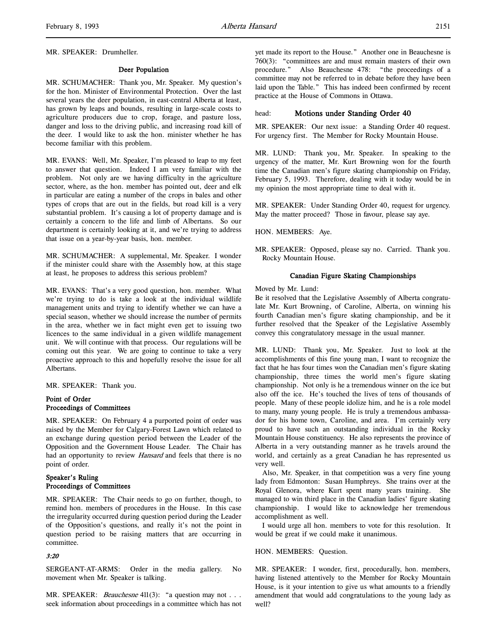#### Deer Population

MR. SCHUMACHER: Thank you, Mr. Speaker. My question's for the hon. Minister of Environmental Protection. Over the last several years the deer population, in east-central Alberta at least, has grown by leaps and bounds, resulting in large-scale costs to agriculture producers due to crop, forage, and pasture loss, danger and loss to the driving public, and increasing road kill of the deer. I would like to ask the hon. minister whether he has become familiar with this problem.

MR. EVANS: Well, Mr. Speaker, I'm pleased to leap to my feet to answer that question. Indeed I am very familiar with the problem. Not only are we having difficulty in the agriculture sector, where, as the hon. member has pointed out, deer and elk in particular are eating a number of the crops in bales and other types of crops that are out in the fields, but road kill is a very substantial problem. It's causing a lot of property damage and is certainly a concern to the life and limb of Albertans. So our department is certainly looking at it, and we're trying to address that issue on a year-by-year basis, hon. member.

MR. SCHUMACHER: A supplemental, Mr. Speaker. I wonder if the minister could share with the Assembly how, at this stage at least, he proposes to address this serious problem?

MR. EVANS: That's a very good question, hon. member. What we're trying to do is take a look at the individual wildlife management units and trying to identify whether we can have a special season, whether we should increase the number of permits in the area, whether we in fact might even get to issuing two licences to the same individual in a given wildlife management unit. We will continue with that process. Our regulations will be coming out this year. We are going to continue to take a very proactive approach to this and hopefully resolve the issue for all Albertans.

MR. SPEAKER: Thank you.

### Point of Order Proceedings of Committees

MR. SPEAKER: On February 4 a purported point of order was raised by the Member for Calgary-Forest Lawn which related to an exchange during question period between the Leader of the Opposition and the Government House Leader. The Chair has had an opportunity to review *Hansard* and feels that there is no point of order.

# Speaker's Ruling Proceedings of Committees

MR. SPEAKER: The Chair needs to go on further, though, to remind hon. members of procedures in the House. In this case the irregularity occurred during question period during the Leader of the Opposition's questions, and really it's not the point in question period to be raising matters that are occurring in committee.

# 3:20

SERGEANT-AT-ARMS: Order in the media gallery. No movement when Mr. Speaker is talking.

MR. SPEAKER: *Beauchesne* 411(3): "a question may not . . . seek information about proceedings in a committee which has not yet made its report to the House." Another one in Beauchesne is 760(3): "committees are and must remain masters of their own procedure." Also Beauchesne 478: "the proceedings of a committee may not be referred to in debate before they have been laid upon the Table." This has indeed been confirmed by recent practice at the House of Commons in Ottawa.

### head: Motions under Standing Order 40

MR. SPEAKER: Our next issue: a Standing Order 40 request. For urgency first. The Member for Rocky Mountain House.

MR. LUND: Thank you, Mr. Speaker. In speaking to the urgency of the matter, Mr. Kurt Browning won for the fourth time the Canadian men's figure skating championship on Friday, February 5, 1993. Therefore, dealing with it today would be in my opinion the most appropriate time to deal with it.

MR. SPEAKER: Under Standing Order 40, request for urgency. May the matter proceed? Those in favour, please say aye.

HON. MEMBERS: Aye.

MR. SPEAKER: Opposed, please say no. Carried. Thank you. Rocky Mountain House.

### Canadian Figure Skating Championships

Moved by Mr. Lund:

Be it resolved that the Legislative Assembly of Alberta congratulate Mr. Kurt Browning, of Caroline, Alberta, on winning his fourth Canadian men's figure skating championship, and be it further resolved that the Speaker of the Legislative Assembly convey this congratulatory message in the usual manner.

MR. LUND: Thank you, Mr. Speaker. Just to look at the accomplishments of this fine young man, I want to recognize the fact that he has four times won the Canadian men's figure skating championship, three times the world men's figure skating championship. Not only is he a tremendous winner on the ice but also off the ice. He's touched the lives of tens of thousands of people. Many of these people idolize him, and he is a role model to many, many young people. He is truly a tremendous ambassador for his home town, Caroline, and area. I'm certainly very proud to have such an outstanding individual in the Rocky Mountain House constituency. He also represents the province of Alberta in a very outstanding manner as he travels around the world, and certainly as a great Canadian he has represented us very well.

Also, Mr. Speaker, in that competition was a very fine young lady from Edmonton: Susan Humphreys. She trains over at the Royal Glenora, where Kurt spent many years training. She managed to win third place in the Canadian ladies' figure skating championship. I would like to acknowledge her tremendous accomplishment as well.

I would urge all hon. members to vote for this resolution. It would be great if we could make it unanimous.

#### HON. MEMBERS: Question.

MR. SPEAKER: I wonder, first, procedurally, hon. members, having listened attentively to the Member for Rocky Mountain House, is it your intention to give us what amounts to a friendly amendment that would add congratulations to the young lady as well?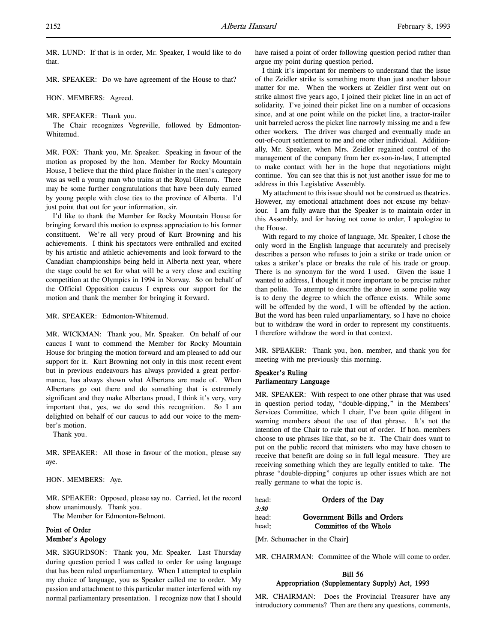MR. LUND: If that is in order, Mr. Speaker, I would like to do that.

MR. SPEAKER: Do we have agreement of the House to that?

HON. MEMBERS: Agreed.

MR. SPEAKER: Thank you.

The Chair recognizes Vegreville, followed by Edmonton-Whitemud.

MR. FOX: Thank you, Mr. Speaker. Speaking in favour of the motion as proposed by the hon. Member for Rocky Mountain House, I believe that the third place finisher in the men's category was as well a young man who trains at the Royal Glenora. There may be some further congratulations that have been duly earned by young people with close ties to the province of Alberta. I'd just point that out for your information, sir.

I'd like to thank the Member for Rocky Mountain House for bringing forward this motion to express appreciation to his former constituent. We're all very proud of Kurt Browning and his achievements. I think his spectators were enthralled and excited by his artistic and athletic achievements and look forward to the Canadian championships being held in Alberta next year, where the stage could be set for what will be a very close and exciting competition at the Olympics in 1994 in Norway. So on behalf of the Official Opposition caucus I express our support for the motion and thank the member for bringing it forward.

MR. SPEAKER: Edmonton-Whitemud.

MR. WICKMAN: Thank you, Mr. Speaker. On behalf of our caucus I want to commend the Member for Rocky Mountain House for bringing the motion forward and am pleased to add our support for it. Kurt Browning not only in this most recent event but in previous endeavours has always provided a great performance, has always shown what Albertans are made of. When Albertans go out there and do something that is extremely significant and they make Albertans proud, I think it's very, very important that, yes, we do send this recognition. So I am delighted on behalf of our caucus to add our voice to the member's motion.

Thank you.

MR. SPEAKER: All those in favour of the motion, please say aye.

HON. MEMBERS: Aye.

MR. SPEAKER: Opposed, please say no. Carried, let the record show unanimously. Thank you.

The Member for Edmonton-Belmont.

# Point of Order Member's Apology

MR. SIGURDSON: Thank you, Mr. Speaker. Last Thursday during question period I was called to order for using language that has been ruled unparliamentary. When I attempted to explain my choice of language, you as Speaker called me to order. My passion and attachment to this particular matter interfered with my normal parliamentary presentation. I recognize now that I should

have raised a point of order following question period rather than argue my point during question period.

I think it's important for members to understand that the issue of the Zeidler strike is something more than just another labour matter for me. When the workers at Zeidler first went out on strike almost five years ago, I joined their picket line in an act of solidarity. I've joined their picket line on a number of occasions since, and at one point while on the picket line, a tractor-trailer unit barreled across the picket line narrowly missing me and a few other workers. The driver was charged and eventually made an out-of-court settlement to me and one other individual. Additionally, Mr. Speaker, when Mrs. Zeidler regained control of the management of the company from her ex-son-in-law, I attempted to make contact with her in the hope that negotiations might continue. You can see that this is not just another issue for me to address in this Legislative Assembly.

My attachment to this issue should not be construed as theatrics. However, my emotional attachment does not excuse my behaviour. I am fully aware that the Speaker is to maintain order in this Assembly, and for having not come to order, I apologize to the House.

With regard to my choice of language, Mr. Speaker, I chose the only word in the English language that accurately and precisely describes a person who refuses to join a strike or trade union or takes a striker's place or breaks the rule of his trade or group. There is no synonym for the word I used. Given the issue I wanted to address, I thought it more important to be precise rather than polite. To attempt to describe the above in some polite way is to deny the degree to which the offence exists. While some will be offended by the word, I will be offended by the action. But the word has been ruled unparliamentary, so I have no choice but to withdraw the word in order to represent my constituents. I therefore withdraw the word in that context.

MR. SPEAKER: Thank you, hon. member, and thank you for meeting with me previously this morning.

# Speaker's Ruling Parliamentary Language

MR. SPEAKER: With respect to one other phrase that was used in question period today, "double-dipping," in the Members' Services Committee, which I chair, I've been quite diligent in warning members about the use of that phrase. It's not the intention of the Chair to rule that out of order. If hon. members choose to use phrases like that, so be it. The Chair does want to put on the public record that ministers who may have chosen to receive that benefit are doing so in full legal measure. They are receiving something which they are legally entitled to take. The phrase "double-dipping" conjures up other issues which are not really germane to what the topic is.

| Orders of the Day           |
|-----------------------------|
|                             |
| Government Bills and Orders |
| Committee of the Whole      |
|                             |

[Mr. Schumacher in the Chair]

MR. CHAIRMAN: Committee of the Whole will come to order.

# Bill 56 Appropriation (Supplementary Supply) Act, 1993

MR. CHAIRMAN: Does the Provincial Treasurer have any introductory comments? Then are there any questions, comments,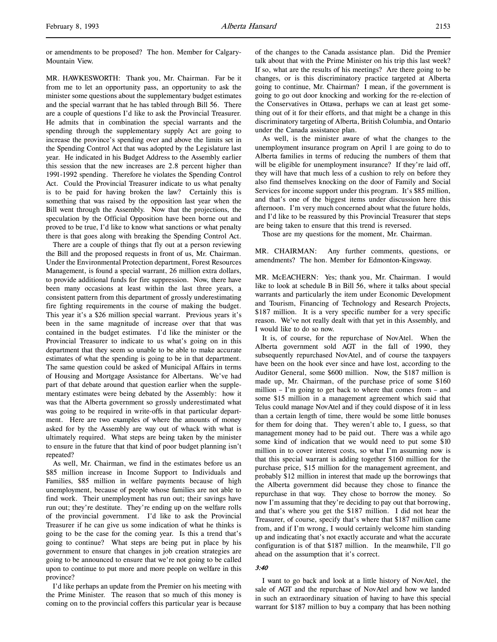or amendments to be proposed? The hon. Member for Calgary-Mountain View.

MR. HAWKESWORTH: Thank you, Mr. Chairman. Far be it from me to let an opportunity pass, an opportunity to ask the minister some questions about the supplementary budget estimates and the special warrant that he has tabled through Bill 56. There are a couple of questions I'd like to ask the Provincial Treasurer. He admits that in combination the special warrants and the spending through the supplementary supply Act are going to increase the province's spending over and above the limits set in the Spending Control Act that was adopted by the Legislature last year. He indicated in his Budget Address to the Assembly earlier this session that the new increases are 2.8 percent higher than 1991-1992 spending. Therefore he violates the Spending Control Act. Could the Provincial Treasurer indicate to us what penalty is to be paid for having broken the law? Certainly this is something that was raised by the opposition last year when the Bill went through the Assembly. Now that the projections, the speculation by the Official Opposition have been borne out and proved to be true, I'd like to know what sanctions or what penalty there is that goes along with breaking the Spending Control Act.

There are a couple of things that fly out at a person reviewing the Bill and the proposed requests in front of us, Mr. Chairman. Under the Environmental Protection department, Forest Resources Management, is found a special warrant, 26 million extra dollars, to provide additional funds for fire suppression. Now, there have been many occasions at least within the last three years, a consistent pattern from this department of grossly underestimating fire fighting requirements in the course of making the budget. This year it's a \$26 million special warrant. Previous years it's been in the same magnitude of increase over that that was contained in the budget estimates. I'd like the minister or the Provincial Treasurer to indicate to us what's going on in this department that they seem so unable to be able to make accurate estimates of what the spending is going to be in that department. The same question could be asked of Municipal Affairs in terms of Housing and Mortgage Assistance for Albertans. We've had part of that debate around that question earlier when the supplementary estimates were being debated by the Assembly: how it was that the Alberta government so grossly underestimated what was going to be required in write-offs in that particular department. Here are two examples of where the amounts of money asked for by the Assembly are way out of whack with what is ultimately required. What steps are being taken by the minister to ensure in the future that that kind of poor budget planning isn't repeated?

As well, Mr. Chairman, we find in the estimates before us an \$85 million increase in Income Support to Individuals and Families, \$85 million in welfare payments because of high unemployment, because of people whose families are not able to find work. Their unemployment has run out; their savings have run out; they're destitute. They're ending up on the welfare rolls of the provincial government. I'd like to ask the Provincial Treasurer if he can give us some indication of what he thinks is going to be the case for the coming year. Is this a trend that's going to continue? What steps are being put in place by his government to ensure that changes in job creation strategies are going to be announced to ensure that we're not going to be called upon to continue to put more and more people on welfare in this province?

I'd like perhaps an update from the Premier on his meeting with the Prime Minister. The reason that so much of this money is coming on to the provincial coffers this particular year is because

of the changes to the Canada assistance plan. Did the Premier talk about that with the Prime Minister on his trip this last week? If so, what are the results of his meetings? Are there going to be changes, or is this discriminatory practice targeted at Alberta going to continue, Mr. Chairman? I mean, if the government is going to go out door knocking and working for the re-election of the Conservatives in Ottawa, perhaps we can at least get something out of it for their efforts, and that might be a change in this discriminatory targeting of Alberta, British Columbia, and Ontario under the Canada assistance plan.

As well, is the minister aware of what the changes to the unemployment insurance program on April 1 are going to do to Alberta families in terms of reducing the numbers of them that will be eligible for unemployment insurance? If they're laid off, they will have that much less of a cushion to rely on before they also find themselves knocking on the door of Family and Social Services for income support under this program. It's \$85 million, and that's one of the biggest items under discussion here this afternoon. I'm very much concerned about what the future holds, and I'd like to be reassured by this Provincial Treasurer that steps are being taken to ensure that this trend is reversed.

Those are my questions for the moment, Mr. Chairman.

MR. CHAIRMAN: Any further comments, questions, or amendments? The hon. Member for Edmonton-Kingsway.

MR. McEACHERN: Yes; thank you, Mr. Chairman. I would like to look at schedule B in Bill 56, where it talks about special warrants and particularly the item under Economic Development and Tourism, Financing of Technology and Research Projects, \$187 million. It is a very specific number for a very specific reason. We've not really dealt with that yet in this Assembly, and I would like to do so now.

It is, of course, for the repurchase of NovAtel. When the Alberta government sold AGT in the fall of 1990, they subsequently repurchased NovAtel, and of course the taxpayers have been on the hook ever since and have lost, according to the Auditor General, some \$600 million. Now, the \$187 million is made up, Mr. Chairman, of the purchase price of some \$160 million – I'm going to get back to where that comes from – and some \$15 million in a management agreement which said that Telus could manage NovAtel and if they could dispose of it in less than a certain length of time, there would be some little bonuses for them for doing that. They weren't able to, I guess, so that management money had to be paid out. There was a while ago some kind of indication that we would need to put some \$10 million in to cover interest costs, so what I'm assuming now is that this special warrant is adding together \$160 million for the purchase price, \$15 million for the management agreement, and probably \$12 million in interest that made up the borrowings that the Alberta government did because they chose to finance the repurchase in that way. They chose to borrow the money. So now I'm assuming that they're deciding to pay out that borrowing, and that's where you get the \$187 million. I did not hear the Treasurer, of course, specify that's where that \$187 million came from, and if I'm wrong, I would certainly welcome him standing up and indicating that's not exactly accurate and what the accurate configuration is of that \$187 million. In the meanwhile, I'll go ahead on the assumption that it's correct.

#### 3:40

I want to go back and look at a little history of NovAtel, the sale of AGT and the repurchase of NovAtel and how we landed in such an extraordinary situation of having to have this special warrant for \$187 million to buy a company that has been nothing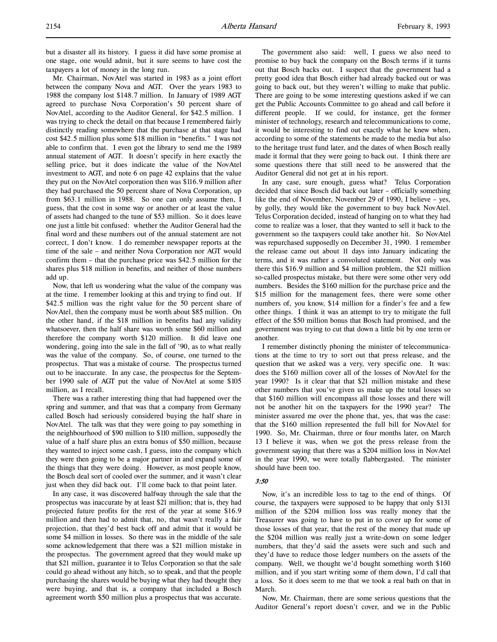but a disaster all its history. I guess it did have some promise at one stage, one would admit, but it sure seems to have cost the taxpayers a lot of money in the long run.

Mr. Chairman, NovAtel was started in 1983 as a joint effort between the company Nova and AGT. Over the years 1983 to 1988 the company lost \$148.7 million. In January of 1989 AGT agreed to purchase Nova Corporation's 50 percent share of NovAtel, according to the Auditor General, for \$42.5 million. I was trying to check the detail on that because I remembered fairly distinctly reading somewhere that the purchase at that stage had cost \$42.5 million plus some \$18 million in "benefits." I was not able to confirm that. I even got the library to send me the 1989 annual statement of AGT. It doesn't specify in here exactly the selling price, but it does indicate the value of the NovAtel investment to AGT, and note 6 on page 42 explains that the value they put on the NovAtel corporation then was \$116.9 million after they had purchased the 50 percent share of Nova Corporation, up from \$63.1 million in 1988. So one can only assume then, I guess, that the cost in some way or another or at least the value of assets had changed to the tune of \$53 million. So it does leave one just a little bit confused: whether the Auditor General had the final word and these numbers out of the annual statement are not correct, I don't know. I do remember newspaper reports at the time of the sale – and neither Nova Corporation nor AGT would confirm them – that the purchase price was \$42.5 million for the shares plus \$18 million in benefits, and neither of those numbers add up.

Now, that left us wondering what the value of the company was at the time. I remember looking at this and trying to find out. If \$42.5 million was the right value for the 50 percent share of NovAtel, then the company must be worth about \$85 million. On the other hand, if the \$18 million in benefits had any validity whatsoever, then the half share was worth some \$60 million and therefore the company worth \$120 million. It did leave one wondering, going into the sale in the fall of '90, as to what really was the value of the company. So, of course, one turned to the prospectus. That was a mistake of course. The prospectus turned out to be inaccurate. In any case, the prospectus for the September 1990 sale of AGT put the value of NovAtel at some \$105 million, as I recall.

There was a rather interesting thing that had happened over the spring and summer, and that was that a company from Germany called Bosch had seriously considered buying the half share in NovAtel. The talk was that they were going to pay something in the neighbourhood of \$90 million to \$110 million, supposedly the value of a half share plus an extra bonus of \$50 million, because they wanted to inject some cash, I guess, into the company which they were then going to be a major partner in and expand some of the things that they were doing. However, as most people know, the Bosch deal sort of cooled over the summer, and it wasn't clear just when they did back out. I'll come back to that point later.

In any case, it was discovered halfway through the sale that the prospectus was inaccurate by at least \$21 million; that is, they had projected future profits for the rest of the year at some \$16.9 million and then had to admit that, no, that wasn't really a fair projection, that they'd best back off and admit that it would be some \$4 million in losses. So there was in the middle of the sale some acknowledgement that there was a \$21 million mistake in the prospectus. The government agreed that they would make up that \$21 million, guarantee it to Telus Corporation so that the sale could go ahead without any hitch, so to speak, and that the people purchasing the shares would be buying what they had thought they were buying, and that is, a company that included a Bosch agreement worth \$50 million plus a prospectus that was accurate.

The government also said: well, I guess we also need to promise to buy back the company on the Bosch terms if it turns out that Bosch backs out. I suspect that the government had a pretty good idea that Bosch either had already backed out or was going to back out, but they weren't willing to make that public. There are going to be some interesting questions asked if we can get the Public Accounts Committee to go ahead and call before it different people. If we could, for instance, get the former minister of technology, research and telecommunications to come, it would be interesting to find out exactly what he knew when, according to some of the statements he made to the media but also to the heritage trust fund later, and the dates of when Bosch really made it formal that they were going to back out. I think there are some questions there that still need to be answered that the Auditor General did not get at in his report.

In any case, sure enough, guess what? Telus Corporation decided that since Bosch did back out later – officially something like the end of November, November 29 of 1990, I believe – yes, by golly, they would like the government to buy back NovAtel. Telus Corporation decided, instead of hanging on to what they had come to realize was a loser, that they wanted to sell it back to the government so the taxpayers could take another hit. So NovAtel was repurchased supposedly on December 31, 1990. I remember the release came out about 11 days into January indicating the terms, and it was rather a convoluted statement. Not only was there this \$16.9 million and \$4 million problem, the \$21 million so-called prospectus mistake, but there were some other very odd numbers. Besides the \$160 million for the purchase price and the \$15 million for the management fees, there were some other numbers of, you know, \$14 million for a finder's fee and a few other things. I think it was an attempt to try to mitigate the full effect of the \$50 million bonus that Bosch had promised, and the government was trying to cut that down a little bit by one term or another.

I remember distinctly phoning the minister of telecommunications at the time to try to sort out that press release, and the question that we asked was a very, very specific one. It was: does the \$160 million cover all of the losses of NovAtel for the year 1990? Is it clear that that \$21 million mistake and these other numbers that you've given us make up the total losses so that \$160 million will encompass all those losses and there will not be another hit on the taxpayers for the 1990 year? The minister assured me over the phone that, yes, that was the case: that the \$160 million represented the full bill for NovAtel for 1990. So, Mr. Chairman, three or four months later, on March 13 I believe it was, when we got the press release from the government saying that there was a \$204 million loss in NovAtel in the year 1990, we were totally flabbergasted. The minister should have been too.

## 3:50

Now, it's an incredible loss to tag to the end of things. Of course, the taxpayers were supposed to be happy that only \$131 million of the \$204 million loss was really money that the Treasurer was going to have to put in to cover up for some of those losses of that year, that the rest of the money that made up the \$204 million was really just a write-down on some ledger numbers, that they'd said the assets were such and such and they'd have to reduce those ledger numbers on the assets of the company. Well, we thought we'd bought something worth \$160 million, and if you start writing some of them down, I'd call that a loss. So it does seem to me that we took a real bath on that in March.

Now, Mr. Chairman, there are some serious questions that the Auditor General's report doesn't cover, and we in the Public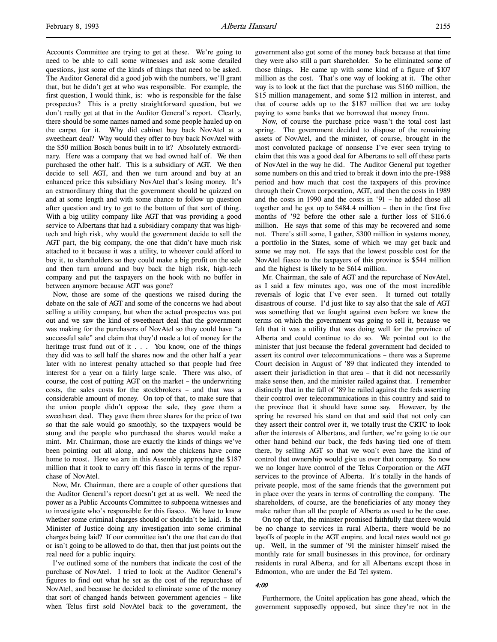Accounts Committee are trying to get at these. We're going to need to be able to call some witnesses and ask some detailed questions, just some of the kinds of things that need to be asked. The Auditor General did a good job with the numbers, we'll grant that, but he didn't get at who was responsible. For example, the first question, I would think, is: who is responsible for the false prospectus? This is a pretty straightforward question, but we don't really get at that in the Auditor General's report. Clearly, there should be some names named and some people hauled up on the carpet for it. Why did cabinet buy back NovAtel at a sweetheart deal? Why would they offer to buy back NovAtel with the \$50 million Bosch bonus built in to it? Absolutely extraordinary. Here was a company that we had owned half of. We then purchased the other half. This is a subsidiary of AGT. We then decide to sell AGT, and then we turn around and buy at an enhanced price this subsidiary NovAtel that's losing money. It's an extraordinary thing that the government should be quizzed on and at some length and with some chance to follow up question after question and try to get to the bottom of that sort of thing. With a big utility company like AGT that was providing a good service to Albertans that had a subsidiary company that was hightech and high risk, why would the government decide to sell the AGT part, the big company, the one that didn't have much risk attached to it because it was a utility, to whoever could afford to buy it, to shareholders so they could make a big profit on the sale and then turn around and buy back the high risk, high-tech company and put the taxpayers on the hook with no buffer in between anymore because AGT was gone?

Now, those are some of the questions we raised during the debate on the sale of AGT and some of the concerns we had about selling a utility company, but when the actual prospectus was put out and we saw the kind of sweetheart deal that the government was making for the purchasers of NovAtel so they could have "a successful sale" and claim that they'd made a lot of money for the heritage trust fund out of it . . . You know, one of the things they did was to sell half the shares now and the other half a year later with no interest penalty attached so that people had free interest for a year on a fairly large scale. There was also, of course, the cost of putting AGT on the market – the underwriting costs, the sales costs for the stockbrokers – and that was a considerable amount of money. On top of that, to make sure that the union people didn't oppose the sale, they gave them a sweetheart deal. They gave them three shares for the price of two so that the sale would go smoothly, so the taxpayers would be stung and the people who purchased the shares would make a mint. Mr. Chairman, those are exactly the kinds of things we've been pointing out all along, and now the chickens have come home to roost. Here we are in this Assembly approving the \$187 million that it took to carry off this fiasco in terms of the repurchase of NovAtel.

Now, Mr. Chairman, there are a couple of other questions that the Auditor General's report doesn't get at as well. We need the power as a Public Accounts Committee to subpoena witnesses and to investigate who's responsible for this fiasco. We have to know whether some criminal charges should or shouldn't be laid. Is the Minister of Justice doing any investigation into some criminal charges being laid? If our committee isn't the one that can do that or isn't going to be allowed to do that, then that just points out the real need for a public inquiry.

I've outlined some of the numbers that indicate the cost of the purchase of NovAtel. I tried to look at the Auditor General's figures to find out what he set as the cost of the repurchase of NovAtel, and because he decided to eliminate some of the money that sort of changed hands between government agencies – like when Telus first sold NovAtel back to the government, the

government also got some of the money back because at that time they were also still a part shareholder. So he eliminated some of those things. He came up with some kind of a figure of \$107 million as the cost. That's one way of looking at it. The other way is to look at the fact that the purchase was \$160 million, the \$15 million management, and some \$12 million in interest, and that of course adds up to the \$187 million that we are today paying to some banks that we borrowed that money from.

Now, of course the purchase price wasn't the total cost last spring. The government decided to dispose of the remaining assets of NovAtel, and the minister, of course, brought in the most convoluted package of nonsense I've ever seen trying to claim that this was a good deal for Albertans to sell off these parts of NovAtel in the way he did. The Auditor General put together some numbers on this and tried to break it down into the pre-1988 period and how much that cost the taxpayers of this province through their Crown corporation, AGT, and then the costs in 1989 and the costs in 1990 and the costs in '91 – he added those all together and he got up to \$484.4 million – then in the first five months of '92 before the other sale a further loss of \$116.6 million. He says that some of this may be recovered and some not. There's still some, I gather, \$300 million in systems money, a portfolio in the States, some of which we may get back and some we may not. He says that the lowest possible cost for the NovAtel fiasco to the taxpayers of this province is \$544 million and the highest is likely to be \$614 million.

Mr. Chairman, the sale of AGT and the repurchase of NovAtel, as I said a few minutes ago, was one of the most incredible reversals of logic that I've ever seen. It turned out totally disastrous of course. I'd just like to say also that the sale of AGT was something that we fought against even before we knew the terms on which the government was going to sell it, because we felt that it was a utility that was doing well for the province of Alberta and could continue to do so. We pointed out to the minister that just because the federal government had decided to assert its control over telecommunications – there was a Supreme Court decision in August of '89 that indicated they intended to assert their jurisdiction in that area – that it did not necessarily make sense then, and the minister railed against that. I remember distinctly that in the fall of '89 he railed against the feds asserting their control over telecommunications in this country and said to the province that it should have some say. However, by the spring he reversed his stand on that and said that not only can they assert their control over it, we totally trust the CRTC to look after the interests of Albertans, and further, we're going to tie our other hand behind our back, the feds having tied one of them there, by selling AGT so that we won't even have the kind of control that ownership would give us over that company. So now we no longer have control of the Telus Corporation or the AGT services to the province of Alberta. It's totally in the hands of private people, most of the same friends that the government put in place over the years in terms of controlling the company. The shareholders, of course, are the beneficiaries of any money they make rather than all the people of Alberta as used to be the case.

On top of that, the minister promised faithfully that there would be no change to services in rural Alberta, there would be no layoffs of people in the AGT empire, and local rates would not go up. Well, in the summer of '91 the minister himself raised the monthly rate for small businesses in this province, for ordinary residents in rural Alberta, and for all Albertans except those in Edmonton, who are under the Ed Tel system.

### 4:00

Furthermore, the Unitel application has gone ahead, which the government supposedly opposed, but since they're not in the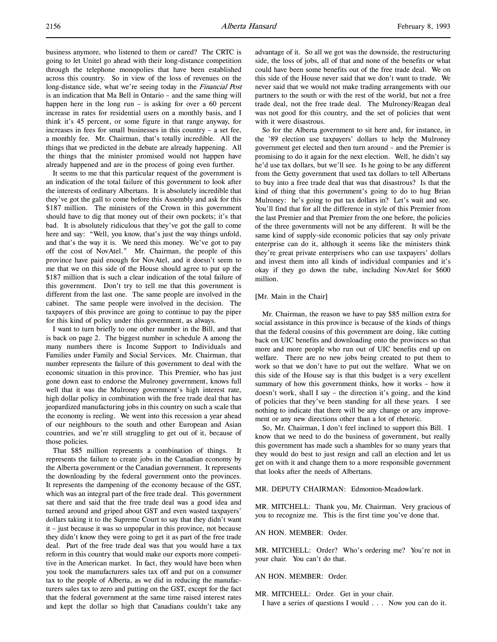business anymore, who listened to them or cared? The CRTC is going to let Unitel go ahead with their long-distance competition through the telephone monopolies that have been established across this country. So in view of the loss of revenues on the long-distance side, what we're seeing today in the *Financial Post* is an indication that Ma Bell in Ontario – and the same thing will happen here in the long run – is asking for over a 60 percent increase in rates for residential users on a monthly basis, and I think it's 45 percent, or some figure in that range anyway, for increases in fees for small businesses in this country – a set fee, a monthly fee. Mr. Chairman, that's totally incredible. All the things that we predicted in the debate are already happening. All the things that the minister promised would not happen have already happened and are in the process of going even further.

It seems to me that this particular request of the government is an indication of the total failure of this government to look after the interests of ordinary Albertans. It is absolutely incredible that they've got the gall to come before this Assembly and ask for this \$187 million. The ministers of the Crown in this government should have to dig that money out of their own pockets; it's that bad. It is absolutely ridiculous that they've got the gall to come here and say: "Well, you know, that's just the way things unfold, and that's the way it is. We need this money. We've got to pay off the cost of NovAtel." Mr. Chairman, the people of this province have paid enough for NovAtel, and it doesn't seem to me that we on this side of the House should agree to put up the \$187 million that is such a clear indication of the total failure of this government. Don't try to tell me that this government is different from the last one. The same people are involved in the cabinet. The same people were involved in the decision. The taxpayers of this province are going to continue to pay the piper for this kind of policy under this government, as always.

I want to turn briefly to one other number in the Bill, and that is back on page 2. The biggest number in schedule A among the many numbers there is Income Support to Individuals and Families under Family and Social Services. Mr. Chairman, that number represents the failure of this government to deal with the economic situation in this province. This Premier, who has just gone down east to endorse the Mulroney government, knows full well that it was the Mulroney government's high interest rate, high dollar policy in combination with the free trade deal that has jeopardized manufacturing jobs in this country on such a scale that the economy is reeling. We went into this recession a year ahead of our neighbours to the south and other European and Asian countries, and we're still struggling to get out of it, because of those policies.

That \$85 million represents a combination of things. It represents the failure to create jobs in the Canadian economy by the Alberta government or the Canadian government. It represents the downloading by the federal government onto the provinces. It represents the dampening of the economy because of the GST, which was an integral part of the free trade deal. This government sat there and said that the free trade deal was a good idea and turned around and griped about GST and even wasted taxpayers' dollars taking it to the Supreme Court to say that they didn't want it – just because it was so unpopular in this province, not because they didn't know they were going to get it as part of the free trade deal. Part of the free trade deal was that you would have a tax reform in this country that would make our exports more competitive in the American market. In fact, they would have been when you took the manufacturers sales tax off and put on a consumer tax to the people of Alberta, as we did in reducing the manufacturers sales tax to zero and putting on the GST, except for the fact that the federal government at the same time raised interest rates and kept the dollar so high that Canadians couldn't take any

advantage of it. So all we got was the downside, the restructuring side, the loss of jobs, all of that and none of the benefits or what could have been some benefits out of the free trade deal. We on this side of the House never said that we don't want to trade. We never said that we would not make trading arrangements with our partners to the south or with the rest of the world, but not a free trade deal, not the free trade deal. The Mulroney/Reagan deal was not good for this country, and the set of policies that went with it were disastrous.

So for the Alberta government to sit here and, for instance, in the '89 election use taxpayers' dollars to help the Mulroney government get elected and then turn around – and the Premier is promising to do it again for the next election. Well, he didn't say he'd use tax dollars, but we'll see. Is he going to be any different from the Getty government that used tax dollars to tell Albertans to buy into a free trade deal that was that disastrous? Is that the kind of thing that this government's going to do to hug Brian Mulroney: he's going to put tax dollars in? Let's wait and see. You'll find that for all the difference in style of this Premier from the last Premier and that Premier from the one before, the policies of the three governments will not be any different. It will be the same kind of supply-side economic policies that say only private enterprise can do it, although it seems like the ministers think they're great private enterprisers who can use taxpayers' dollars and invest them into all kinds of individual companies and it's okay if they go down the tube, including NovAtel for \$600 million.

#### [Mr. Main in the Chair]

Mr. Chairman, the reason we have to pay \$85 million extra for social assistance in this province is because of the kinds of things that the federal cousins of this government are doing, like cutting back on UIC benefits and downloading onto the provinces so that more and more people who run out of UIC benefits end up on welfare. There are no new jobs being created to put them to work so that we don't have to put out the welfare. What we on this side of the House say is that this budget is a very excellent summary of how this government thinks, how it works – how it doesn't work, shall I say – the direction it's going, and the kind of policies that they've been standing for all these years. I see nothing to indicate that there will be any change or any improvement or any new directions other than a lot of rhetoric.

So, Mr. Chairman, I don't feel inclined to support this Bill. I know that we need to do the business of government, but really this government has made such a shambles for so many years that they would do best to just resign and call an election and let us get on with it and change them to a more responsible government that looks after the needs of Albertans.

# MR. DEPUTY CHAIRMAN: Edmonton-Meadowlark.

MR. MITCHELL: Thank you, Mr. Chairman. Very gracious of you to recognize me. This is the first time you've done that.

#### AN HON. MEMBER: Order.

MR. MITCHELL: Order? Who's ordering me? You're not in your chair. You can't do that.

### AN HON. MEMBER: Order.

MR. MITCHELL: Order. Get in your chair.

I have a series of questions I would . . . Now you can do it.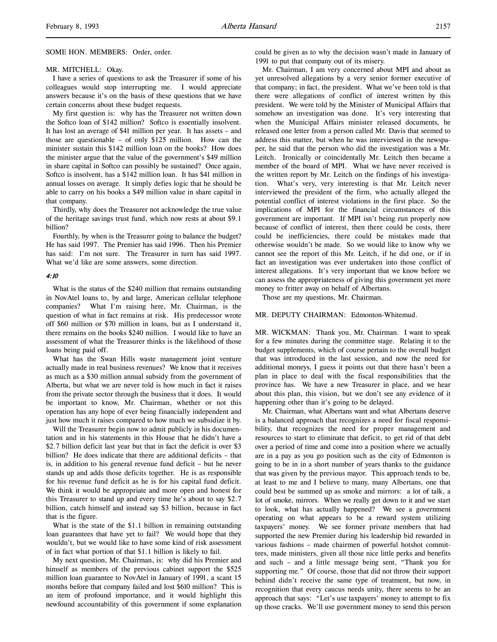#### MR. MITCHELL: Okay.

I have a series of questions to ask the Treasurer if some of his colleagues would stop interrupting me. I would appreciate answers because it's on the basis of these questions that we have certain concerns about these budget requests.

My first question is: why has the Treasurer not written down the Softco loan of \$142 million? Softco is essentially insolvent. It has lost an average of \$41 million per year. It has assets – and those are questionable – of only \$125 million. How can the minister sustain this \$142 million loan on the books? How does the minister argue that the value of the government's \$49 million in share capital in Softco can possibly be sustained? Once again, Softco is insolvent, has a \$142 million loan. It has \$41 million in annual losses on average. It simply defies logic that he should be able to carry on his books a \$49 million value in share capital in that company.

Thirdly, why does the Treasurer not acknowledge the true value of the heritage savings trust fund, which now rests at about \$9.1 billion?

Fourthly, by when is the Treasurer going to balance the budget? He has said 1997. The Premier has said 1996. Then his Premier has said: I'm not sure. The Treasurer in turn has said 1997. What we'd like are some answers, some direction.

#### 4:10

What is the status of the \$240 million that remains outstanding in NovAtel loans to, by and large, American cellular telephone companies? What I'm raising here, Mr. Chairman, is the question of what in fact remains at risk. His predecessor wrote off \$60 million or \$70 million in loans, but as I understand it, there remains on the books \$240 million. I would like to have an assessment of what the Treasurer thinks is the likelihood of those loans being paid off.

What has the Swan Hills waste management joint venture actually made in real business revenues? We know that it receives as much as a \$30 million annual subsidy from the government of Alberta, but what we are never told is how much in fact it raises from the private sector through the business that it does. It would be important to know, Mr. Chairman, whether or not this operation has any hope of ever being financially independent and just how much it raises compared to how much we subsidize it by.

Will the Treasurer begin now to admit publicly in his documentation and in his statements in this House that he didn't have a \$2.7 billion deficit last year but that in fact the deficit is over \$3 billion? He does indicate that there are additional deficits – that is, in addition to his general revenue fund deficit – but he never stands up and adds those deficits together. He is as responsible for his revenue fund deficit as he is for his capital fund deficit. We think it would be appropriate and more open and honest for this Treasurer to stand up and every time he's about to say \$2.7 billion, catch himself and instead say \$3 billion, because in fact that is the figure.

What is the state of the \$1.1 billion in remaining outstanding loan guarantees that have yet to fail? We would hope that they wouldn't, but we would like to have some kind of risk assessment of in fact what portion of that \$1.1 billion is likely to fail.

My next question, Mr. Chairman, is: why did his Premier and himself as members of the previous cabinet support the \$525 million loan guarantee to NovAtel in January of 1991, a scant 15 months before that company failed and lost \$610 million? This is an item of profound importance, and it would highlight this newfound accountability of this government if some explanation

could be given as to why the decision wasn't made in January of 1991 to put that company out of its misery.

Mr. Chairman, I am very concerned about MPI and about as yet unresolved allegations by a very senior former executive of that company; in fact, the president. What we've been told is that there were allegations of conflict of interest written by this president. We were told by the Minister of Municipal Affairs that somehow an investigation was done. It's very interesting that when the Municipal Affairs minister released documents, he released one letter from a person called Mr. Davis that seemed to address this matter, but when he was interviewed in the newspaper, he said that the person who did the investigation was a Mr. Leitch. Ironically or coincidentally Mr. Leitch then became a member of the board of MPI. What we have never received is the written report by Mr. Leitch on the findings of his investigation. What's very, very interesting is that Mr. Leitch never interviewed the president of the firm, who actually alleged the potential conflict of interest violations in the first place. So the implications of MPI for the financial circumstances of this government are important. If MPI isn't being run properly now because of conflict of interest, then there could be costs, there could be inefficiencies, there could be mistakes made that otherwise wouldn't be made. So we would like to know why we cannot see the report of this Mr. Leitch, if he did one, or if in fact an investigation was ever undertaken into those conflict of interest allegations. It's very important that we know before we can assess the appropriateness of giving this government yet more money to fritter away on behalf of Albertans.

Those are my questions, Mr. Chairman.

#### MR. DEPUTY CHAIRMAN: Edmonton-Whitemud.

MR. WICKMAN: Thank you, Mr. Chairman. I want to speak for a few minutes during the committee stage. Relating it to the budget supplements, which of course pertain to the overall budget that was introduced in the last session, and now the need for additional moneys, I guess it points out that there hasn't been a plan in place to deal with the fiscal responsibilities that the province has. We have a new Treasurer in place, and we hear about this plan, this vision, but we don't see any evidence of it happening other than it's going to be delayed.

Mr. Chairman, what Albertans want and what Albertans deserve is a balanced approach that recognizes a need for fiscal responsibility, that recognizes the need for proper management and resources to start to eliminate that deficit, to get rid of that debt over a period of time and come into a position where we actually are in a pay as you go position such as the city of Edmonton is going to be in in a short number of years thanks to the guidance that was given by the previous mayor. This approach tends to be, at least to me and I believe to many, many Albertans, one that could best be summed up as smoke and mirrors: a lot of talk, a lot of smoke, mirrors. When we really get down to it and we start to look, what has actually happened? We see a government operating on what appears to be a reward system utilizing taxpayers' money. We see former private members that had supported the new Premier during his leadership bid rewarded in various fashions – made chairmen of powerful hotshot committees, made ministers, given all those nice little perks and benefits and such – and a little message being sent, "Thank you for supporting me." Of course, those that did not throw their support behind didn't receive the same type of treatment, but now, in recognition that every caucus needs unity, there seems to be an approach that says: "Let's use taxpayers' money to attempt to fix up those cracks. We'll use government money to send this person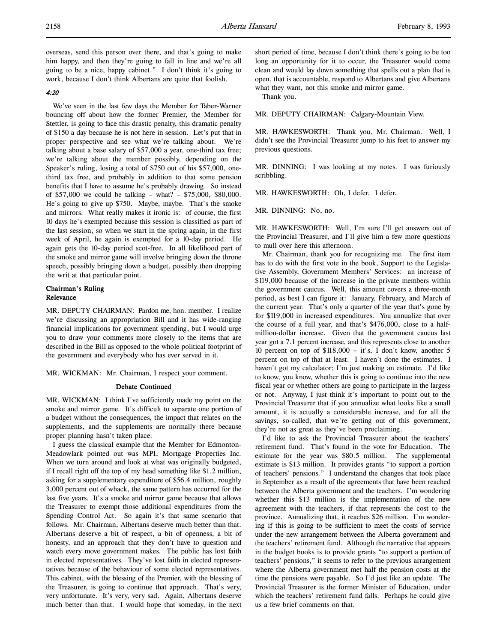overseas, send this person over there, and that's going to make him happy, and then they're going to fall in line and we're all going to be a nice, happy cabinet." I don't think it's going to work, because I don't think Albertans are quite that foolish.

# $4.20$

We've seen in the last few days the Member for Taber-Warner bouncing off about how the former Premier, the Member for Stettler, is going to face this drastic penalty, this dramatic penalty of \$150 a day because he is not here in session. Let's put that in proper perspective and see what we're talking about. We're talking about a base salary of \$57,000 a year, one-third tax free; we're talking about the member possibly, depending on the Speaker's ruling, losing a total of \$750 out of his \$57,000, onethird tax free, and probably in addition to that some pension benefits that I have to assume he's probably drawing. So instead of \$57,000 we could be talking – what? – \$75,000, \$80,000. He's going to give up \$750. Maybe, maybe. That's the smoke and mirrors. What really makes it ironic is: of course, the first 10 days he's exempted because this session is classified as part of the last session, so when we start in the spring again, in the first week of April, he again is exempted for a 10-day period. He again gets the 10-day period scot-free. In all likelihood part of the smoke and mirror game will involve bringing down the throne speech, possibly bringing down a budget, possibly then dropping the writ at that particular point.

# Chairman's Ruling Relevance

MR. DEPUTY CHAIRMAN: Pardon me, hon. member. I realize we're discussing an appropriation Bill and it has wide-ranging financial implications for government spending, but I would urge you to draw your comments more closely to the items that are described in the Bill as opposed to the whole political footprint of the government and everybody who has ever served in it.

MR. WICKMAN: Mr. Chairman, I respect your comment.

#### Debate Continued

MR. WICKMAN: I think I've sufficiently made my point on the smoke and mirror game. It's difficult to separate one portion of a budget without the consequences, the impact that relates on the supplements, and the supplements are normally there because proper planning hasn't taken place.

I guess the classical example that the Member for Edmonton-Meadowlark pointed out was MPI, Mortgage Properties Inc. When we turn around and look at what was originally budgeted, if I recall right off the top of my head something like \$1.2 million, asking for a supplementary expenditure of \$56.4 million, roughly 3,000 percent out of whack, the same pattern has occurred for the last five years. It's a smoke and mirror game because that allows the Treasurer to exempt those additional expenditures from the Spending Control Act. So again it's that same scenario that follows. Mr. Chairman, Albertans deserve much better than that. Albertans deserve a bit of respect, a bit of openness, a bit of honesty, and an approach that they don't have to question and watch every move government makes. The public has lost faith in elected representatives. They've lost faith in elected representatives because of the behaviour of some elected representatives. This cabinet, with the blessing of the Premier, with the blessing of the Treasurer, is going to continue that approach. That's very, very unfortunate. It's very, very sad. Again, Albertans deserve much better than that. I would hope that someday, in the next short period of time, because I don't think there's going to be too long an opportunity for it to occur, the Treasurer would come clean and would lay down something that spells out a plan that is open, that is accountable, respond to Albertans and give Albertans what they want, not this smoke and mirror game.

Thank you.

MR. DEPUTY CHAIRMAN: Calgary-Mountain View.

MR. HAWKESWORTH: Thank you, Mr. Chairman. Well, I didn't see the Provincial Treasurer jump to his feet to answer my previous questions.

MR. DINNING: I was looking at my notes. I was furiously scribbling.

MR. HAWKESWORTH: Oh, I defer. I defer.

MR. DINNING: No, no.

MR. HAWKESWORTH: Well, I'm sure I'll get answers out of the Provincial Treasurer, and I'll give him a few more questions to mull over here this afternoon.

Mr. Chairman, thank you for recognizing me. The first item has to do with the first vote in the book, Support to the Legislative Assembly, Government Members' Services: an increase of \$119,000 because of the increase in the private members within the government caucus. Well, this amount covers a three-month period, as best I can figure it: January, February, and March of the current year. That's only a quarter of the year that's gone by for \$119,000 in increased expenditures. You annualize that over the course of a full year, and that's \$476,000, close to a halfmillion-dollar increase. Given that the government caucus last year got a 7.1 percent increase, and this represents close to another 10 percent on top of \$118,000 – it's, I don't know, another 5 percent on top of that at least. I haven't done the estimates. I haven't got my calculator; I'm just making an estimate. I'd like to know, you know, whether this is going to continue into the new fiscal year or whether others are going to participate in the largess or not. Anyway, I just think it's important to point out to the Provincial Treasurer that if you annualize what looks like a small amount, it is actually a considerable increase, and for all the savings, so-called, that we're getting out of this government, they're not as great as they've been proclaiming.

I'd like to ask the Provincial Treasurer about the teachers' retirement fund. That's found in the vote for Education. The estimate for the year was \$80.5 million. The supplemental estimate is \$13 million. It provides grants "to support a portion of teachers' pensions." I understand the changes that took place in September as a result of the agreements that have been reached between the Alberta government and the teachers. I'm wondering whether this \$13 million is the implementation of the new agreement with the teachers, if that represents the cost to the province. Annualizing that, it reaches \$26 million. I'm wondering if this is going to be sufficient to meet the costs of service under the new arrangement between the Alberta government and the teachers' retirement fund. Although the narrative that appears in the budget books is to provide grants "to support a portion of teachers' pensions," it seems to refer to the previous arrangement where the Alberta government met half the pension costs at the time the pensions were payable. So I'd just like an update. The Provincial Treasurer is the former Minister of Education, under which the teachers' retirement fund falls. Perhaps he could give us a few brief comments on that.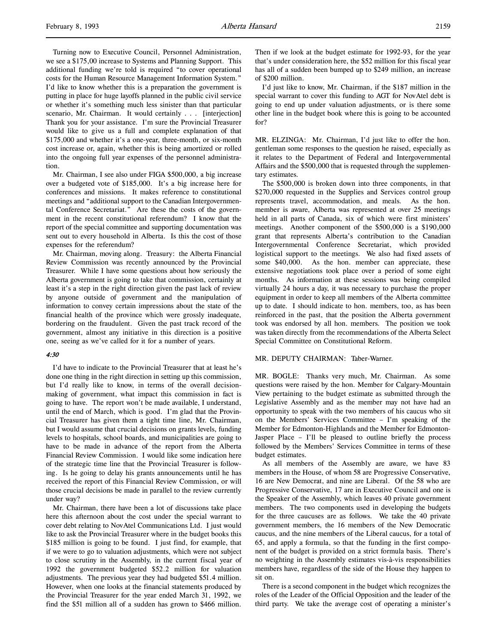Turning now to Executive Council, Personnel Administration, we see a \$175,00 increase to Systems and Planning Support. This additional funding we're told is required "to cover operational costs for the Human Resource Management Information System." I'd like to know whether this is a preparation the government is putting in place for huge layoffs planned in the public civil service or whether it's something much less sinister than that particular scenario, Mr. Chairman. It would certainly . . . [interjection] Thank you for your assistance. I'm sure the Provincial Treasurer would like to give us a full and complete explanation of that

\$175,000 and whether it's a one-year, three-month, or six-month cost increase or, again, whether this is being amortized or rolled into the ongoing full year expenses of the personnel administration. Mr. Chairman, I see also under FIGA \$500,000, a big increase

over a budgeted vote of \$185,000. It's a big increase here for conferences and missions. It makes reference to constitutional meetings and "additional support to the Canadian Intergovernmental Conference Secretariat." Are these the costs of the government in the recent constitutional referendum? I know that the report of the special committee and supporting documentation was sent out to every household in Alberta. Is this the cost of those expenses for the referendum?

Mr. Chairman, moving along. Treasury: the Alberta Financial Review Commission was recently announced by the Provincial Treasurer. While I have some questions about how seriously the Alberta government is going to take that commission, certainly at least it's a step in the right direction given the past lack of review by anyone outside of government and the manipulation of information to convey certain impressions about the state of the financial health of the province which were grossly inadequate, bordering on the fraudulent. Given the past track record of the government, almost any initiative in this direction is a positive one, seeing as we've called for it for a number of years.

#### 4:30

I'd have to indicate to the Provincial Treasurer that at least he's done one thing in the right direction in setting up this commission, but I'd really like to know, in terms of the overall decisionmaking of government, what impact this commission in fact is going to have. The report won't be made available, I understand, until the end of March, which is good. I'm glad that the Provincial Treasurer has given them a tight time line, Mr. Chairman, but I would assume that crucial decisions on grants levels, funding levels to hospitals, school boards, and municipalities are going to have to be made in advance of the report from the Alberta Financial Review Commission. I would like some indication here of the strategic time line that the Provincial Treasurer is following. Is he going to delay his grants announcements until he has received the report of this Financial Review Commission, or will those crucial decisions be made in parallel to the review currently under way?

Mr. Chairman, there have been a lot of discussions take place here this afternoon about the cost under the special warrant to cover debt relating to NovAtel Communications Ltd. I just would like to ask the Provincial Treasurer where in the budget books this \$185 million is going to be found. I just find, for example, that if we were to go to valuation adjustments, which were not subject to close scrutiny in the Assembly, in the current fiscal year of 1992 the government budgeted \$52.2 million for valuation adjustments. The previous year they had budgeted \$51.4 million. However, when one looks at the financial statements produced by the Provincial Treasurer for the year ended March 31, 1992, we find the \$51 million all of a sudden has grown to \$466 million.

Then if we look at the budget estimate for 1992-93, for the year that's under consideration here, the \$52 million for this fiscal year has all of a sudden been bumped up to \$249 million, an increase of \$200 million.

I'd just like to know, Mr. Chairman, if the \$187 million in the special warrant to cover this funding to AGT for NovAtel debt is going to end up under valuation adjustments, or is there some other line in the budget book where this is going to be accounted for?

MR. ELZINGA: Mr. Chairman, I'd just like to offer the hon. gentleman some responses to the question he raised, especially as it relates to the Department of Federal and Intergovernmental Affairs and the \$500,000 that is requested through the supplementary estimates.

The \$500,000 is broken down into three components, in that \$270,000 requested in the Supplies and Services control group represents travel, accommodation, and meals. As the hon. member is aware, Alberta was represented at over 25 meetings held in all parts of Canada, six of which were first ministers' meetings. Another component of the \$500,000 is a \$190,000 grant that represents Alberta's contribution to the Canadian Intergovernmental Conference Secretariat, which provided logistical support to the meetings. We also had fixed assets of some \$40,000. As the hon. member can appreciate, these extensive negotiations took place over a period of some eight months. As information at these sessions was being compiled virtually 24 hours a day, it was necessary to purchase the proper equipment in order to keep all members of the Alberta committee up to date. I should indicate to hon. members, too, as has been reinforced in the past, that the position the Alberta government took was endorsed by all hon. members. The position we took was taken directly from the recommendations of the Alberta Select Special Committee on Constitutional Reform.

## MR. DEPUTY CHAIRMAN: Taber-Warner.

MR. BOGLE: Thanks very much, Mr. Chairman. As some questions were raised by the hon. Member for Calgary-Mountain View pertaining to the budget estimate as submitted through the Legislative Assembly and as the member may not have had an opportunity to speak with the two members of his caucus who sit on the Members' Services Committee – I'm speaking of the Member for Edmonton-Highlands and the Member for Edmonton-Jasper Place – I'll be pleased to outline briefly the process followed by the Members' Services Committee in terms of these budget estimates.

As all members of the Assembly are aware, we have 83 members in the House, of whom 58 are Progressive Conservative, 16 are New Democrat, and nine are Liberal. Of the 58 who are Progressive Conservative, 17 are in Executive Council and one is the Speaker of the Assembly, which leaves 40 private government members. The two components used in developing the budgets for the three caucuses are as follows. We take the 40 private government members, the 16 members of the New Democratic caucus, and the nine members of the Liberal caucus, for a total of 65, and apply a formula, so that the funding in the first component of the budget is provided on a strict formula basis. There's no weighting in the Assembly estimates vis-à-vis responsibilities members have, regardless of the side of the House they happen to sit on.

There is a second component in the budget which recognizes the roles of the Leader of the Official Opposition and the leader of the third party. We take the average cost of operating a minister's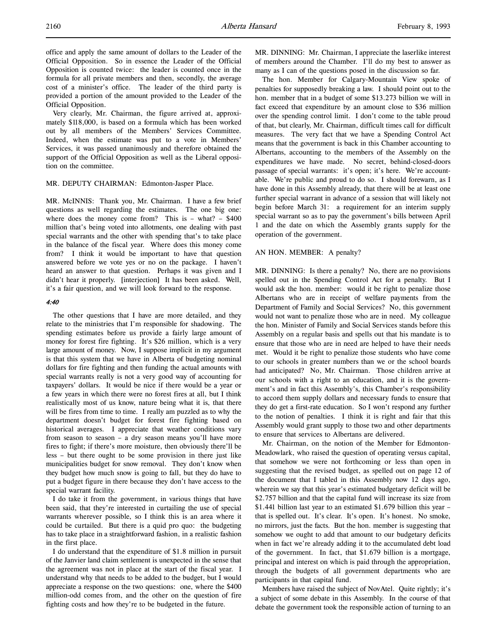Very clearly, Mr. Chairman, the figure arrived at, approximately \$118,000, is based on a formula which has been worked out by all members of the Members' Services Committee. Indeed, when the estimate was put to a vote in Members' Services, it was passed unanimously and therefore obtained the support of the Official Opposition as well as the Liberal opposition on the committee.

#### MR. DEPUTY CHAIRMAN: Edmonton-Jasper Place.

MR. McINNIS: Thank you, Mr. Chairman. I have a few brief questions as well regarding the estimates. The one big one: where does the money come from? This is  $-$  what?  $-$  \$400 million that's being voted into allotments, one dealing with past special warrants and the other with spending that's to take place in the balance of the fiscal year. Where does this money come from? I think it would be important to have that question answered before we vote yes or no on the package. I haven't heard an answer to that question. Perhaps it was given and I didn't hear it properly. [interjection] It has been asked. Well, it's a fair question, and we will look forward to the response.

### 4:40

The other questions that I have are more detailed, and they relate to the ministries that I'm responsible for shadowing. The spending estimates before us provide a fairly large amount of money for forest fire fighting. It's \$26 million, which is a very large amount of money. Now, I suppose implicit in my argument is that this system that we have in Alberta of budgeting nominal dollars for fire fighting and then funding the actual amounts with special warrants really is not a very good way of accounting for taxpayers' dollars. It would be nice if there would be a year or a few years in which there were no forest fires at all, but I think realistically most of us know, nature being what it is, that there will be fires from time to time. I really am puzzled as to why the department doesn't budget for forest fire fighting based on historical averages. I appreciate that weather conditions vary from season to season – a dry season means you'll have more fires to fight; if there's more moisture, then obviously there'll be less – but there ought to be some provision in there just like municipalities budget for snow removal. They don't know when they budget how much snow is going to fall, but they do have to put a budget figure in there because they don't have access to the special warrant facility.

I do take it from the government, in various things that have been said, that they're interested in curtailing the use of special warrants wherever possible, so I think this is an area where it could be curtailed. But there is a quid pro quo: the budgeting has to take place in a straightforward fashion, in a realistic fashion in the first place.

I do understand that the expenditure of \$1.8 million in pursuit of the Janvier land claim settlement is unexpected in the sense that the agreement was not in place at the start of the fiscal year. I understand why that needs to be added to the budget, but I would appreciate a response on the two questions: one, where the \$400 million-odd comes from, and the other on the question of fire fighting costs and how they're to be budgeted in the future.

MR. DINNING: Mr. Chairman, I appreciate the laserlike interest of members around the Chamber. I'll do my best to answer as many as I can of the questions posed in the discussion so far.

The hon. Member for Calgary-Mountain View spoke of penalties for supposedly breaking a law. I should point out to the hon. member that in a budget of some \$13.273 billion we will in fact exceed that expenditure by an amount close to \$36 million over the spending control limit. I don't come to the table proud of that, but clearly, Mr. Chairman, difficult times call for difficult measures. The very fact that we have a Spending Control Act means that the government is back in this Chamber accounting to Albertans, accounting to the members of the Assembly on the expenditures we have made. No secret, behind-closed-doors passage of special warrants: it's open; it's here. We're accountable. We're public and proud to do so. I should forewarn, as I have done in this Assembly already, that there will be at least one further special warrant in advance of a session that will likely not begin before March 31: a requirement for an interim supply special warrant so as to pay the government's bills between April 1 and the date on which the Assembly grants supply for the operation of the government.

### AN HON. MEMBER: A penalty?

MR. DINNING: Is there a penalty? No, there are no provisions spelled out in the Spending Control Act for a penalty. But I would ask the hon. member: would it be right to penalize those Albertans who are in receipt of welfare payments from the Department of Family and Social Services? No, this government would not want to penalize those who are in need. My colleague the hon. Minister of Family and Social Services stands before this Assembly on a regular basis and spells out that his mandate is to ensure that those who are in need are helped to have their needs met. Would it be right to penalize those students who have come to our schools in greater numbers than we or the school boards had anticipated? No, Mr. Chairman. Those children arrive at our schools with a right to an education, and it is the government's and in fact this Assembly's, this Chamber's responsibility to accord them supply dollars and necessary funds to ensure that they do get a first-rate education. So I won't respond any further to the notion of penalties. I think it is right and fair that this Assembly would grant supply to those two and other departments to ensure that services to Albertans are delivered.

Mr. Chairman, on the notion of the Member for Edmonton-Meadowlark, who raised the question of operating versus capital, that somehow we were not forthcoming or less than open in suggesting that the revised budget, as spelled out on page 12 of the document that I tabled in this Assembly now 12 days ago, wherein we say that this year's estimated budgetary deficit will be \$2.757 billion and that the capital fund will increase its size from \$1.441 billion last year to an estimated \$1.679 billion this year – that is spelled out. It's clear. It's open. It's honest. No smoke, no mirrors, just the facts. But the hon. member is suggesting that somehow we ought to add that amount to our budgetary deficits when in fact we're already adding it to the accumulated debt load of the government. In fact, that \$1.679 billion is a mortgage, principal and interest on which is paid through the appropriation, through the budgets of all government departments who are participants in that capital fund.

Members have raised the subject of NovAtel. Quite rightly; it's a subject of some debate in this Assembly. In the course of that debate the government took the responsible action of turning to an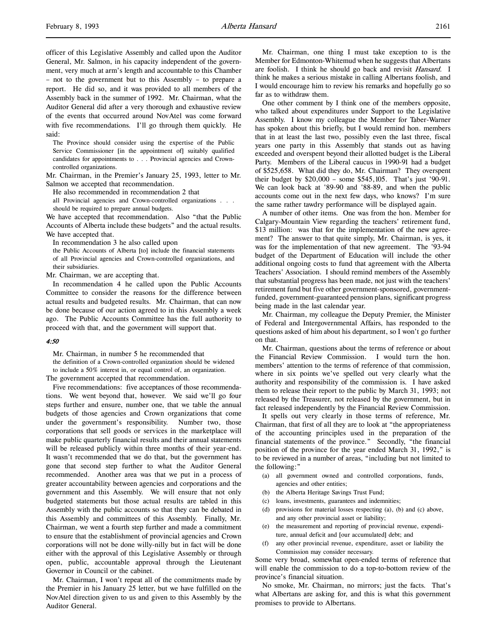officer of this Legislative Assembly and called upon the Auditor General, Mr. Salmon, in his capacity independent of the government, very much at arm's length and accountable to this Chamber – not to the government but to this Assembly – to prepare a report. He did so, and it was provided to all members of the Assembly back in the summer of 1992. Mr. Chairman, what the Auditor General did after a very thorough and exhaustive review of the events that occurred around NovAtel was come forward with five recommendations. I'll go through them quickly. He said:

The Province should consider using the expertise of the Public Service Commissioner [in the appointment of] suitably qualified candidates for appointments to . . . Provincial agencies and Crowncontrolled organizations.

Mr. Chairman, in the Premier's January 25, 1993, letter to Mr. Salmon we accepted that recommendation.

He also recommended in recommendation 2 that

all Provincial agencies and Crown-controlled organizations . . . should be required to prepare annual budgets.

We have accepted that recommendation. Also "that the Public Accounts of Alberta include these budgets" and the actual results. We have accepted that.

In recommendation 3 he also called upon

the Public Accounts of Alberta [to] include the financial statements of all Provincial agencies and Crown-controlled organizations, and their subsidiaries.

Mr. Chairman, we are accepting that.

In recommendation 4 he called upon the Public Accounts Committee to consider the reasons for the difference between actual results and budgeted results. Mr. Chairman, that can now be done because of our action agreed to in this Assembly a week ago. The Public Accounts Committee has the full authority to proceed with that, and the government will support that.

# 4:50

Mr. Chairman, in number 5 he recommended that the definition of a Crown-controlled organization should be widened to include a 50% interest in, or equal control of, an organization. The government accepted that recommendation.

Five recommendations: five acceptances of those recommendations. We went beyond that, however. We said we'll go four steps further and ensure, number one, that we table the annual budgets of those agencies and Crown organizations that come under the government's responsibility. Number two, those corporations that sell goods or services in the marketplace will make public quarterly financial results and their annual statements will be released publicly within three months of their year-end. It wasn't recommended that we do that, but the government has gone that second step further to what the Auditor General recommended. Another area was that we put in a process of greater accountability between agencies and corporations and the government and this Assembly. We will ensure that not only budgeted statements but those actual results are tabled in this Assembly with the public accounts so that they can be debated in this Assembly and committees of this Assembly. Finally, Mr. Chairman, we went a fourth step further and made a commitment to ensure that the establishment of provincial agencies and Crown corporations will not be done willy-nilly but in fact will be done either with the approval of this Legislative Assembly or through open, public, accountable approval through the Lieutenant Governor in Council or the cabinet.

Mr. Chairman, I won't repeat all of the commitments made by the Premier in his January 25 letter, but we have fulfilled on the NovAtel direction given to us and given to this Assembly by the Auditor General.

Mr. Chairman, one thing I must take exception to is the Member for Edmonton-Whitemud when he suggests that Albertans are foolish. I think he should go back and revisit Hansard. I think he makes a serious mistake in calling Albertans foolish, and I would encourage him to review his remarks and hopefully go so far as to withdraw them.

One other comment by I think one of the members opposite, who talked about expenditures under Support to the Legislative Assembly. I know my colleague the Member for Taber-Warner has spoken about this briefly, but I would remind hon. members that in at least the last two, possibly even the last three, fiscal years one party in this Assembly that stands out as having exceeded and overspent beyond their allotted budget is the Liberal Party. Members of the Liberal caucus in 1990-91 had a budget of \$525,658. What did they do, Mr. Chairman? They overspent their budget by \$20,000 – some \$545,105. That's just '90-91. We can look back at '89-90 and '88-89, and when the public accounts come out in the next few days, who knows? I'm sure the same rather tawdry performance will be displayed again.

A number of other items. One was from the hon. Member for Calgary-Mountain View regarding the teachers' retirement fund, \$13 million: was that for the implementation of the new agreement? The answer to that quite simply, Mr. Chairman, is yes, it was for the implementation of that new agreement. The '93-94 budget of the Department of Education will include the other additional ongoing costs to fund that agreement with the Alberta Teachers' Association. I should remind members of the Assembly that substantial progress has been made, not just with the teachers' retirement fund but five other government-sponsored, governmentfunded, government-guaranteed pension plans, significant progress being made in the last calendar year.

Mr. Chairman, my colleague the Deputy Premier, the Minister of Federal and Intergovernmental Affairs, has responded to the questions asked of him about his department, so I won't go further on that.

Mr. Chairman, questions about the terms of reference or about the Financial Review Commission. I would turn the hon. members' attention to the terms of reference of that commission, where in six points we've spelled out very clearly what the authority and responsibility of the commission is. I have asked them to release their report to the public by March 31, 1993; not released by the Treasurer, not released by the government, but in fact released independently by the Financial Review Commission.

It spells out very clearly in those terms of reference, Mr. Chairman, that first of all they are to look at "the appropriateness of the accounting principles used in the preparation of the financial statements of the province." Secondly, "the financial position of the province for the year ended March 31, 1992," is to be reviewed in a number of areas, "including but not limited to the following:"

- (a) all government owned and controlled corporations, funds, agencies and other entities;
- (b) the Alberta Heritage Savings Trust Fund;
- (c) loans, investments, guarantees and indemnities;
- (d) provisions for material losses respecting (a), (b) and (c) above, and any other provincial asset or liability;
- (e) the measurement and reporting of provincial revenue, expenditure, annual deficit and [our accumulated] debt; and
- any other provincial revenue, expenditure, asset or liability the Commission may consider necessary.

Some very broad, somewhat open-ended terms of reference that will enable the commission to do a top-to-bottom review of the province's financial situation.

No smoke, Mr. Chairman, no mirrors; just the facts. That's what Albertans are asking for, and this is what this government promises to provide to Albertans.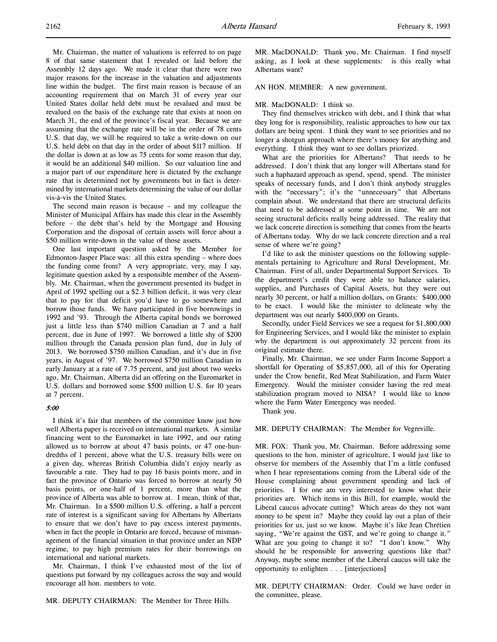Mr. Chairman, the matter of valuations is referred to on page 8 of that same statement that I revealed or laid before the Assembly 12 days ago. We made it clear that there were two major reasons for the increase in the valuation and adjustments line within the budget. The first main reason is because of an accounting requirement that on March 31 of every year our United States dollar held debt must be revalued and must be revalued on the basis of the exchange rate that exists at noon on March 31, the end of the province's fiscal year. Because we are assuming that the exchange rate will be in the order of 78 cents U.S. that day, we will be required to take a write-down on our U.S. held debt on that day in the order of about \$117 million. If the dollar is down at as low as 75 cents for some reason that day, it would be an additional \$40 million. So our valuation line and a major part of our expenditure here is dictated by the exchange rate that is determined not by governments but in fact is determined by international markets determining the value of our dollar vis-à-vis the United States.

The second main reason is because – and my colleague the Minister of Municipal Affairs has made this clear in the Assembly before – the debt that's held by the Mortgage and Housing Corporation and the disposal of certain assets will force about a \$50 million write-down in the value of those assets.

One last important question asked by the Member for Edmonton-Jasper Place was: all this extra spending – where does the funding come from? A very appropriate, very, may I say, legitimate question asked by a responsible member of the Assembly. Mr. Chairman, when the government presented its budget in April of 1992 spelling out a \$2.3 billion deficit, it was very clear that to pay for that deficit you'd have to go somewhere and borrow those funds. We have participated in five borrowings in 1992 and '93. Through the Alberta capital bonds we borrowed just a little less than \$740 million Canadian at 7 and a half percent, due in June of 1997. We borrowed a little shy of \$200 million through the Canada pension plan fund, due in July of 2013. We borrowed \$750 million Canadian, and it's due in five years, in August of '97. We borrowed \$750 million Canadian in early January at a rate of 7.75 percent, and just about two weeks ago, Mr. Chairman, Alberta did an offering on the Euromarket in U.S. dollars and borrowed some \$500 million U.S. for 10 years at 7 percent.

#### 5:00

I think it's fair that members of the committee know just how well Alberta paper is received on international markets. A similar financing went to the Euromarket in late 1992, and our rating allowed us to borrow at about 47 basis points, or 47 one-hundredths of 1 percent, above what the U.S. treasury bills were on a given day, whereas British Columbia didn't enjoy nearly as favourable a rate. They had to pay 16 basis points more, and in fact the province of Ontario was forced to borrow at nearly 50 basis points, or one-half of 1 percent, more than what the province of Alberta was able to borrow at. I mean, think of that, Mr. Chairman. In a \$500 million U.S. offering, a half a percent rate of interest is a significant saving for Albertans by Albertans to ensure that we don't have to pay excess interest payments, when in fact the people in Ontario are forced, because of mismanagement of the financial situation in that province under an NDP regime, to pay high premium rates for their borrowings on international and national markets.

Mr. Chairman, I think I've exhausted most of the list of questions put forward by my colleagues across the way and would encourage all hon. members to vote.

MR. DEPUTY CHAIRMAN: The Member for Three Hills.

MR. MacDONALD: Thank you, Mr. Chairman. I find myself asking, as I look at these supplements: is this really what Albertans want?

#### AN HON. MEMBER: A new government.

#### MR. MacDONALD: I think so.

They find themselves stricken with debt, and I think that what they long for is responsibility, realistic approaches to how our tax dollars are being spent. I think they want to see priorities and no longer a shotgun approach where there's money for anything and everything. I think they want to see dollars priorized.

What are the priorities for Albertans? That needs to be addressed. I don't think that any longer will Albertans stand for such a haphazard approach as spend, spend, spend. The minister speaks of necessary funds, and I don't think anybody struggles with the "necessary"; it's the "unnecessary" that Albertans complain about. We understand that there are structural deficits that need to be addressed at some point in time. We are not seeing structural deficits really being addressed. The reality that we lack concrete direction is something that comes from the hearts of Albertans today. Why do we lack concrete direction and a real sense of where we're going?

I'd like to ask the minister questions on the following supplementals pertaining to Agriculture and Rural Development, Mr. Chairman. First of all, under Departmental Support Services. To the department's credit they were able to balance salaries, supplies, and Purchases of Capital Assets, but they were out nearly 30 percent, or half a million dollars, on Grants: \$400,000 to be exact. I would like the minister to delineate why the department was out nearly \$400,000 on Grants.

Secondly, under Field Services we see a request for \$1,800,000 for Engineering Services, and I would like the minister to explain why the department is out approximately 32 percent from its original estimate there.

Finally, Mr. Chairman, we see under Farm Income Support a shortfall for Operating of \$5,857,000, all of this for Operating under the Crow benefit, Red Meat Stabilization, and Farm Water Emergency. Would the minister consider having the red meat stabilization program moved to NISA? I would like to know where the Farm Water Emergency was needed.

Thank you.

MR. DEPUTY CHAIRMAN: The Member for Vegreville.

MR. FOX: Thank you, Mr. Chairman. Before addressing some questions to the hon. minister of agriculture, I would just like to observe for members of the Assembly that I'm a little confused when I hear representations coming from the Liberal side of the House complaining about government spending and lack of priorities. I for one am very interested to know what their priorities are. Which items in this Bill, for example, would the Liberal caucus advocate cutting? Which areas do they not want money to be spent in? Maybe they could lay out a plan of their priorities for us, just so we know. Maybe it's like Jean Chrétien saying, "We're against the GST, and we're going to change it." What are you going to change it to? "I don't know." Why should he be responsible for answering questions like that? Anyway, maybe some member of the Liberal caucus will take the opportunity to enlighten . . . [interjections]

MR. DEPUTY CHAIRMAN: Order. Could we have order in the committee, please.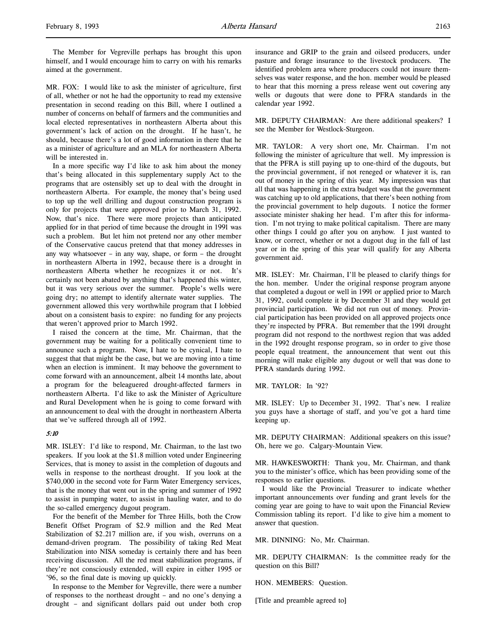The Member for Vegreville perhaps has brought this upon himself, and I would encourage him to carry on with his remarks aimed at the government.

MR. FOX: I would like to ask the minister of agriculture, first of all, whether or not he had the opportunity to read my extensive presentation in second reading on this Bill, where I outlined a number of concerns on behalf of farmers and the communities and local elected representatives in northeastern Alberta about this government's lack of action on the drought. If he hasn't, he should, because there's a lot of good information in there that he as a minister of agriculture and an MLA for northeastern Alberta will be interested in.

In a more specific way I'd like to ask him about the money that's being allocated in this supplementary supply Act to the programs that are ostensibly set up to deal with the drought in northeastern Alberta. For example, the money that's being used to top up the well drilling and dugout construction program is only for projects that were approved prior to March 31, 1992. Now, that's nice. There were more projects than anticipated applied for in that period of time because the drought in 1991 was such a problem. But let him not pretend nor any other member of the Conservative caucus pretend that that money addresses in any way whatsoever – in any way, shape, or form – the drought in northeastern Alberta in 1992, because there is a drought in northeastern Alberta whether he recognizes it or not. It's certainly not been abated by anything that's happened this winter, but it was very serious over the summer. People's wells were going dry; no attempt to identify alternate water supplies. The government allowed this very worthwhile program that I lobbied about on a consistent basis to expire: no funding for any projects that weren't approved prior to March 1992.

I raised the concern at the time, Mr. Chairman, that the government may be waiting for a politically convenient time to announce such a program. Now, I hate to be cynical, I hate to suggest that that might be the case, but we are moving into a time when an election is imminent. It may behoove the government to come forward with an announcement, albeit 14 months late, about a program for the beleaguered drought-affected farmers in northeastern Alberta. I'd like to ask the Minister of Agriculture and Rural Development when he is going to come forward with an announcement to deal with the drought in northeastern Alberta that we've suffered through all of 1992.

### 5:10

MR. ISLEY: I'd like to respond, Mr. Chairman, to the last two speakers. If you look at the \$1.8 million voted under Engineering Services, that is money to assist in the completion of dugouts and wells in response to the northeast drought. If you look at the \$740,000 in the second vote for Farm Water Emergency services, that is the money that went out in the spring and summer of 1992 to assist in pumping water, to assist in hauling water, and to do the so-called emergency dugout program.

For the benefit of the Member for Three Hills, both the Crow Benefit Offset Program of \$2.9 million and the Red Meat Stabilization of \$2.217 million are, if you wish, overruns on a demand-driven program. The possibility of taking Red Meat Stabilization into NISA someday is certainly there and has been receiving discussion. All the red meat stabilization programs, if they're not consciously extended, will expire in either 1995 or '96, so the final date is moving up quickly.

In response to the Member for Vegreville, there were a number of responses to the northeast drought – and no one's denying a drought – and significant dollars paid out under both crop

insurance and GRIP to the grain and oilseed producers, under pasture and forage insurance to the livestock producers. The identified problem area where producers could not insure themselves was water response, and the hon. member would be pleased to hear that this morning a press release went out covering any wells or dugouts that were done to PFRA standards in the calendar year 1992.

MR. DEPUTY CHAIRMAN: Are there additional speakers? I see the Member for Westlock-Sturgeon.

MR. TAYLOR: A very short one, Mr. Chairman. I'm not following the minister of agriculture that well. My impression is that the PFRA is still paying up to one-third of the dugouts, but the provincial government, if not reneged or whatever it is, ran out of money in the spring of this year. My impression was that all that was happening in the extra budget was that the government was catching up to old applications, that there's been nothing from the provincial government to help dugouts. I notice the former associate minister shaking her head. I'm after this for information. I'm not trying to make political capitalism. There are many other things I could go after you on anyhow. I just wanted to know, or correct, whether or not a dugout dug in the fall of last year or in the spring of this year will qualify for any Alberta government aid.

MR. ISLEY: Mr. Chairman, I'll be pleased to clarify things for the hon. member. Under the original response program anyone that completed a dugout or well in 1991 or applied prior to March 31, 1992, could complete it by December 31 and they would get provincial participation. We did not run out of money. Provincial participation has been provided on all approved projects once they're inspected by PFRA. But remember that the 1991 drought program did not respond to the northwest region that was added in the 1992 drought response program, so in order to give those people equal treatment, the announcement that went out this morning will make eligible any dugout or well that was done to PFRA standards during 1992.

MR. TAYLOR: In '92?

MR. ISLEY: Up to December 31, 1992. That's new. I realize you guys have a shortage of staff, and you've got a hard time keeping up.

MR. DEPUTY CHAIRMAN: Additional speakers on this issue? Oh, here we go. Calgary-Mountain View.

MR. HAWKESWORTH: Thank you, Mr. Chairman, and thank you to the minister's office, which has been providing some of the responses to earlier questions.

I would like the Provincial Treasurer to indicate whether important announcements over funding and grant levels for the coming year are going to have to wait upon the Financial Review Commission tabling its report. I'd like to give him a moment to answer that question.

MR. DINNING: No, Mr. Chairman.

MR. DEPUTY CHAIRMAN: Is the committee ready for the question on this Bill?

HON. MEMBERS: Question.

[Title and preamble agreed to]